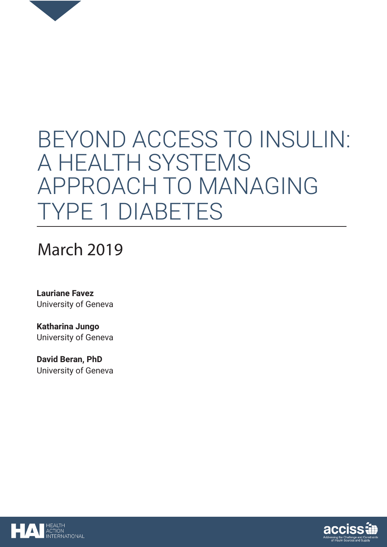

# BEYOND ACCESS TO INSULIN: A HEALTH SYSTEMS APPROACH TO MANAGING TYPE 1 DIABETES

# March 2019

**Lauriane Favez** University of Geneva

**Katharina Jungo** University of Geneva

**David Beran, PhD** University of Geneva



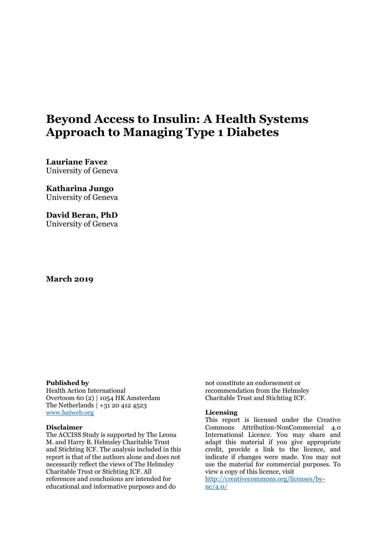### **Beyond Access to Insulin: A Health Systems Approach to Managing Type 1 Diabetes**

**Lauriane Favez** University of Geneva

**Katharina Jungo** University of Geneva

**David Beran, PhD**  University of Geneva

#### **March 2019**

#### **Published by**

Health Action International Overtoom 60 (2) | 1054 HK Amsterdam The Netherlands | +31 20 412 4523 [www.haiweb.org](http://www.haiweb.org/) 

#### **Disclaimer**

The ACCISS Study is supported by The Leona M. and Harry B. Helmsley Charitable Trust and Stichting ICF. The analysis included in this report is that of the authors alone and does not necessarily reflect the views of The Helmsley Charitable Trust or Stichting ICF. All references and conclusions are intended for educational and informative purposes and do

not constitute an endorsement or recommendation from the Helmsley Charitable Trust and Stichting ICF.

#### **Licensing**

This report is licensed under the Creative Commons Attribution-NonCommercial 4.0 International Licence. You may share and adapt this material if you give appropriate credit, provide a link to the licence, and indicate if changes were made. You may not use the material for commercial purposes. To view a copy of this licence, visit

[http://creativecommons.org/licenses/by](http://creativecommons.org/licenses/by-nc/4.0/)[nc/4.0/](http://creativecommons.org/licenses/by-nc/4.0/)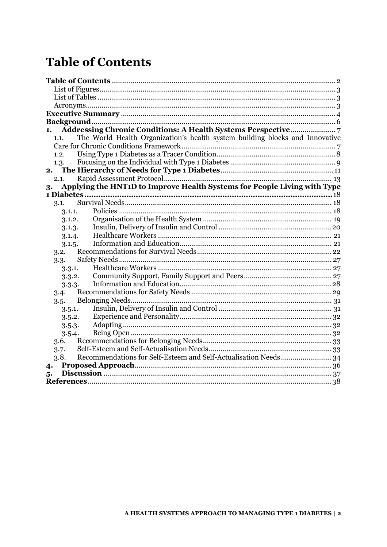# <span id="page-2-0"></span>**Table of Contents**

| 1.                                                                                   |  |
|--------------------------------------------------------------------------------------|--|
| The World Health Organization's health system building blocks and Innovative<br>1.1. |  |
|                                                                                      |  |
| 1.2.                                                                                 |  |
| 1.3.                                                                                 |  |
| 2.                                                                                   |  |
| 2.1.                                                                                 |  |
| Applying the HNT1D to Improve Health Systems for People Living with Type<br>3.       |  |
|                                                                                      |  |
| 3.1.                                                                                 |  |
| 3.1.1.                                                                               |  |
| 3.1.2.                                                                               |  |
| 3.1.3.                                                                               |  |
| 3.1.4.                                                                               |  |
| 3.1.5.                                                                               |  |
| 3.2.                                                                                 |  |
| 3.3.                                                                                 |  |
| 3.3.1.                                                                               |  |
| 3.3.2.                                                                               |  |
| 3.3.3.                                                                               |  |
| 3.4.                                                                                 |  |
| 3.5.                                                                                 |  |
| 3.5.1.                                                                               |  |
| 3.5.2.                                                                               |  |
| 3.5.3.                                                                               |  |
| 3.5.4.                                                                               |  |
| 3.6.                                                                                 |  |
| 3.7.                                                                                 |  |
| Recommendations for Self-Esteem and Self-Actualisation Needs34<br>3.8.               |  |
| 4.                                                                                   |  |
| 5.                                                                                   |  |
|                                                                                      |  |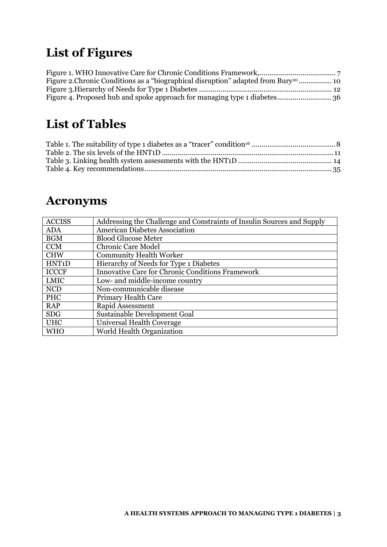# <span id="page-3-0"></span>**List of Figures**

| Figure 2. Chronic Conditions as a "biographical disruption" adapted from Bury <sup>20</sup> 10 |
|------------------------------------------------------------------------------------------------|
|                                                                                                |
|                                                                                                |

# <span id="page-3-1"></span>**List of Tables**

# <span id="page-3-2"></span>**Acronyms**

| <b>ACCISS</b>      | Addressing the Challenge and Constraints of Insulin Sources and Supply |
|--------------------|------------------------------------------------------------------------|
| <b>ADA</b>         | <b>American Diabetes Association</b>                                   |
| <b>BGM</b>         | <b>Blood Glucose Meter</b>                                             |
| <b>CCM</b>         | <b>Chronic Care Model</b>                                              |
| <b>CHW</b>         | <b>Community Health Worker</b>                                         |
| HNT <sub>1</sub> D | Hierarchy of Needs for Type 1 Diabetes                                 |
| <b>ICCCF</b>       | <b>Innovative Care for Chronic Conditions Framework</b>                |
| <b>LMIC</b>        | Low- and middle-income country                                         |
| <b>NCD</b>         | Non-communicable disease                                               |
| PHC                | <b>Primary Health Care</b>                                             |
| <b>RAP</b>         | Rapid Assessment                                                       |
| <b>SDG</b>         | <b>Sustainable Development Goal</b>                                    |
| <b>UHC</b>         | Universal Health Coverage                                              |
| <b>WHO</b>         | World Health Organization                                              |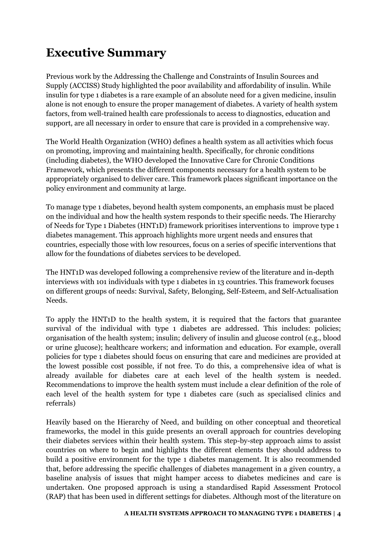# <span id="page-4-0"></span>**Executive Summary**

Previous work by the Addressing the Challenge and Constraints of Insulin Sources and Supply (ACCISS) Study highlighted the poor availability and affordability of insulin. While insulin for type 1 diabetes is a rare example of an absolute need for a given medicine, insulin alone is not enough to ensure the proper management of diabetes. A variety of health system factors, from well-trained health care professionals to access to diagnostics, education and support, are all necessary in order to ensure that care is provided in a comprehensive way.

The World Health Organization (WHO) defines a health system as all activities which focus on promoting, improving and maintaining health. Specifically, for chronic conditions (including diabetes), the WHO developed the Innovative Care for Chronic Conditions Framework, which presents the different components necessary for a health system to be appropriately organised to deliver care. This framework places significant importance on the policy environment and community at large.

To manage type 1 diabetes, beyond health system components, an emphasis must be placed on the individual and how the health system responds to their specific needs. The Hierarchy of Needs for Type 1 Diabetes (HNT1D) framework prioritises interventions to improve type 1 diabetes management. This approach highlights more urgent needs and ensures that countries, especially those with low resources, focus on a series of specific interventions that allow for the foundations of diabetes services to be developed.

The HNT1D was developed following a comprehensive review of the literature and in-depth interviews with 101 individuals with type 1 diabetes in 13 countries. This framework focuses on different groups of needs: Survival, Safety, Belonging, Self-Esteem, and Self-Actualisation Needs.

To apply the HNT1D to the health system, it is required that the factors that guarantee survival of the individual with type 1 diabetes are addressed. This includes: policies; organisation of the health system; insulin; delivery of insulin and glucose control (e.g., blood or urine glucose); healthcare workers; and information and education. For example, overall policies for type 1 diabetes should focus on ensuring that care and medicines are provided at the lowest possible cost possible, if not free. To do this, a comprehensive idea of what is already available for diabetes care at each level of the health system is needed. Recommendations to improve the health system must include a clear definition of the role of each level of the health system for type 1 diabetes care (such as specialised clinics and referrals)

Heavily based on the Hierarchy of Need, and building on other conceptual and theoretical frameworks, the model in this guide presents an overall approach for countries developing their diabetes services within their health system. This step-by-step approach aims to assist countries on where to begin and highlights the different elements they should address to build a positive environment for the type 1 diabetes management. It is also recommended that, before addressing the specific challenges of diabetes management in a given country, a baseline analysis of issues that might hamper access to diabetes medicines and care is undertaken. One proposed approach is using a standardised Rapid Assessment Protocol (RAP) that has been used in different settings for diabetes. Although most of the literature on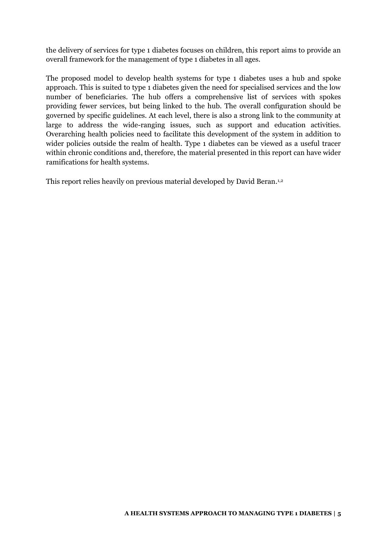the delivery of services for type 1 diabetes focuses on children, this report aims to provide an overall framework for the management of type 1 diabetes in all ages.

The proposed model to develop health systems for type 1 diabetes uses a hub and spoke approach. This is suited to type 1 diabetes given the need for specialised services and the low number of beneficiaries. The hub offers a comprehensive list of services with spokes providing fewer services, but being linked to the hub. The overall configuration should be governed by specific guidelines. At each level, there is also a strong link to the community at large to address the wide-ranging issues, such as support and education activities. Overarching health policies need to facilitate this development of the system in addition to wider policies outside the realm of health. Type 1 diabetes can be viewed as a useful tracer within chronic conditions and, therefore, the material presented in this report can have wider ramifications for health systems.

This report relies heavily on previous material developed by David Beran.1,2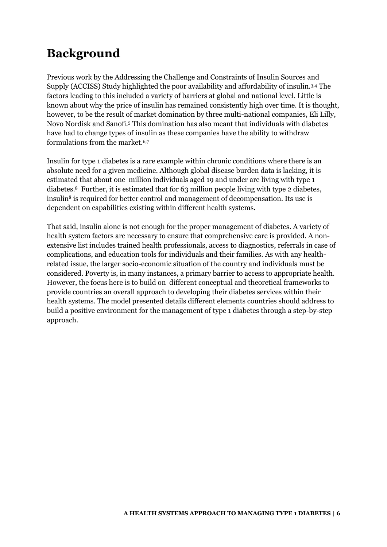# <span id="page-6-0"></span>**Background**

Previous work by the Addressing the Challenge and Constraints of Insulin Sources and Supply (ACCISS) Study highlighted the poor availability and affordability of insulin.3,4 The factors leading to this included a variety of barriers at global and national level. Little is known about why the price of insulin has remained consistently high over time. It is thought, however, to be the result of market domination by three multi-national companies, Eli Lilly, Novo Nordisk and Sanofi.<sup>5</sup> This domination has also meant that individuals with diabetes have had to change types of insulin as these companies have the ability to withdraw formulations from the market.6,7

Insulin for type 1 diabetes is a rare example within chronic conditions where there is an absolute need for a given medicine. Although global disease burden data is lacking, it is estimated that about one million individuals aged 19 and under are living with type 1 diabetes.8 Further, it is estimated that for 63 million people living with type 2 diabetes, insulin<sup>8</sup> is required for better control and management of decompensation. Its use is dependent on capabilities existing within different health systems.

That said, insulin alone is not enough for the proper management of diabetes. A variety of health system factors are necessary to ensure that comprehensive care is provided. A nonextensive list includes trained health professionals, access to diagnostics, referrals in case of complications, and education tools for individuals and their families. As with any healthrelated issue, the larger socio-economic situation of the country and individuals must be considered. Poverty is, in many instances, a primary barrier to access to appropriate health. However, the focus here is to build on different conceptual and theoretical frameworks to provide countries an overall approach to developing their diabetes services within their health systems. The model presented details different elements countries should address to build a positive environment for the management of type 1 diabetes through a step-by-step approach.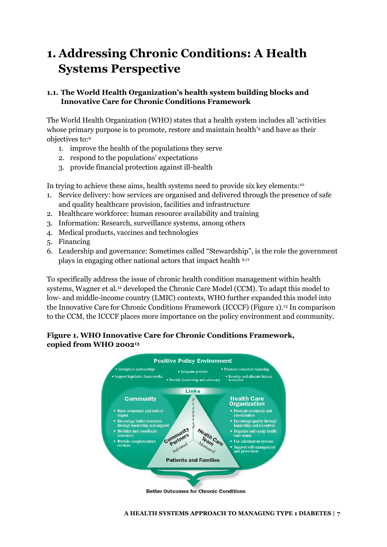# <span id="page-7-0"></span>**1. Addressing Chronic Conditions: A Health Systems Perspective**

#### <span id="page-7-1"></span>**1.1. The World Health Organization's health system building blocks and Innovative Care for Chronic Conditions Framework**

The World Health Organization (WHO) states that a health system includes all 'activities whose primary purpose is to promote, restore and maintain health'<sup>9</sup> and have as their objectives to:<sup>9</sup>

- 1. improve the health of the populations they serve
- 2. respond to the populations' expectations
- 3. provide financial protection against ill-health

In trying to achieve these aims, health systems need to provide six key elements:<sup>10</sup>

- 1. Service delivery: how services are organised and delivered through the presence of safe and quality healthcare provision, facilities and infrastructure
- 2. Healthcare workforce: human resource availability and training
- 3. Information: Research, surveillance systems, among others
- 4. Medical products, vaccines and technologies
- 5. Financing
- 6. Leadership and governance: Sometimes called "Stewardship", is the role the government plays in engaging other national actors that impact health 9,11

To specifically address the issue of chronic health condition management within health systems, Wagner et al.12 developed the Chronic Care Model (CCM). To adapt this model to low- and middle-income country (LMIC) contexts, WHO further expanded this model into the Innovative Care for Chronic Conditions Framework (ICCCF) [\(Figure 1\)](#page-7-3).13 In comparison to the CCM, the ICCCF places more importance on the policy environment and community.

#### <span id="page-7-3"></span><span id="page-7-2"></span>**Figure 1. WHO Innovative Care for Chronic Conditions Framework, copied from WHO 200213**



**Better Outcomes for Chronic Conditions**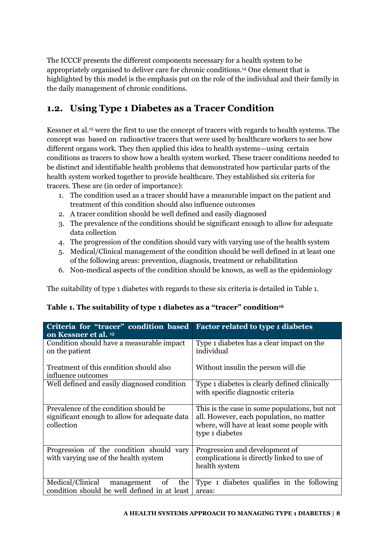The ICCCF presents the different components necessary for a health system to be appropriately organised to deliver care for chronic conditions.14 One element that is highlighted by this model is the emphasis put on the role of the individual and their family in the daily management of chronic conditions.

### <span id="page-8-0"></span>**1.2. Using Type 1 Diabetes as a Tracer Condition**

Kessner et al.15 were the first to use the concept of tracers with regards to health systems. The concept was based on radioactive tracers that were used by healthcare workers to see how different organs work. They then applied this idea to health systems—using certain conditions as tracers to show how a health system worked. These tracer conditions needed to be distinct and identifiable health problems that demonstrated how particular parts of the health system worked together to provide healthcare. They established six criteria for tracers. These are (in order of importance):

- 1. The condition used as a tracer should have a measurable impact on the patient and treatment of this condition should also influence outcomes
- 2. A tracer condition should be well defined and easily diagnosed
- 3. The prevalence of the conditions should be significant enough to allow for adequate data collection
- 4. The progression of the condition should vary with varying use of the health system
- 5. Medical/Clinical management of the condition should be well defined in at least one of the following areas: prevention, diagnosis, treatment or rehabilitation
- 6. Non-medical aspects of the condition should be known, as well as the epidemiology

The suitability of type 1 diabetes with regards to these six criteria is detailed in Table 1.

| Criteria for "tracer" condition based<br>on Kessner et al. 15                                        | <b>Factor related to type 1 diabetes</b>                                                                                                                   |
|------------------------------------------------------------------------------------------------------|------------------------------------------------------------------------------------------------------------------------------------------------------------|
| Condition should have a measurable impact<br>on the patient                                          | Type 1 diabetes has a clear impact on the<br>individual                                                                                                    |
| Treatment of this condition should also<br>influence outcomes                                        | Without insulin the person will die                                                                                                                        |
| Well defined and easily diagnosed condition                                                          | Type 1 diabetes is clearly defined clinically<br>with specific diagnostic criteria                                                                         |
| Prevalence of the condition should be<br>significant enough to allow for adequate data<br>collection | This is the case in some populations, but not<br>all. However, each population, no matter<br>where, will have at least some people with<br>type 1 diabetes |
| Progression of the condition should vary<br>with varying use of the health system                    | Progression and development of<br>complications is directly linked to use of<br>health system                                                              |
| Medical/Clinical<br>the<br>management<br>of<br>condition should be well defined in at least          | Type 1 diabetes qualifies in the following<br>areas:                                                                                                       |

#### <span id="page-8-1"></span>**Table 1. The suitability of type 1 diabetes as a "tracer" condition<sup>16</sup>**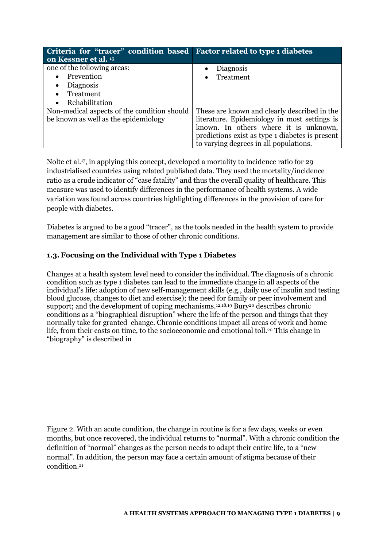| Criteria for "tracer" condition based Factor related to type 1 diabetes |                                                 |
|-------------------------------------------------------------------------|-------------------------------------------------|
| on Kessner et al. 15                                                    |                                                 |
| one of the following areas:                                             | Diagnosis                                       |
| Prevention<br>$\bullet$                                                 | Treatment                                       |
| <b>Diagnosis</b><br>$\bullet$                                           |                                                 |
| Treatment<br>$\bullet$                                                  |                                                 |
| Rehabilitation<br>$\bullet$                                             |                                                 |
| Non-medical aspects of the condition should                             | These are known and clearly described in the    |
| be known as well as the epidemiology                                    | literature. Epidemiology in most settings is    |
|                                                                         | known. In others where it is unknown,           |
|                                                                         | predictions exist as type 1 diabetes is present |
|                                                                         | to varying degrees in all populations.          |

Nolte et al.17, in applying this concept, developed a mortality to incidence ratio for 29 industrialised countries using related published data. They used the mortality/incidence ratio as a crude indicator of "case fatality" and thus the overall quality of healthcare. This measure was used to identify differences in the performance of health systems. A wide variation was found across countries highlighting differences in the provision of care for people with diabetes.

Diabetes is argued to be a good "tracer", as the tools needed in the health system to provide management are similar to those of other chronic conditions.

#### <span id="page-9-0"></span>**1.3. Focusing on the Individual with Type 1 Diabetes**

Changes at a health system level need to consider the individual. The diagnosis of a chronic condition such as type 1 diabetes can lead to the immediate change in all aspects of the individual's life: adoption of new self-management skills (e.g., daily use of insulin and testing blood glucose, changes to diet and exercise); the need for family or peer involvement and support; and the development of coping mechanisms.<sup>12,18,19</sup> Bury<sup>20</sup> describes chronic conditions as a "biographical disruption" where the life of the person and things that they normally take for granted change. Chronic conditions impact all areas of work and home life, from their costs on time, to the socioeconomic and emotional toll.20 This change in "biography" is described in

<span id="page-9-2"></span><span id="page-9-1"></span>[Figure 2.](#page-9-2) With an acute condition, the change in routine is for a few days, weeks or even months, but once recovered, the individual returns to "normal". With a chronic condition the definition of "normal" changes as the person needs to adapt their entire life, to a "new normal". In addition, the person may face a certain amount of stigma because of their condition.21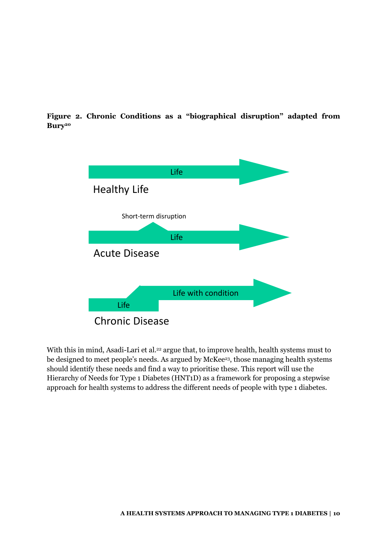**Figure 2. Chronic Conditions as a "biographical disruption" adapted from Bury<sup>20</sup>**



With this in mind, Asadi-Lari et al.<sup>22</sup> argue that, to improve health, health systems must to be designed to meet people's needs. As argued by McKee<sup>23</sup>, those managing health systems should identify these needs and find a way to prioritise these. This report will use the Hierarchy of Needs for Type 1 Diabetes (HNT1D) as a framework for proposing a stepwise approach for health systems to address the different needs of people with type 1 diabetes.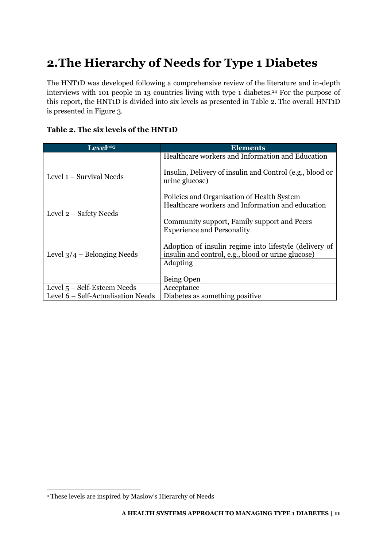# <span id="page-11-0"></span>**2.The Hierarchy of Needs for Type 1 Diabetes**

The HNT1D was developed following a comprehensive review of the literature and in-depth interviews with 101 people in 13 countries living with type 1 diabetes.<sup>24</sup> For the purpose of this report, the HNT1D is divided into six levels as presented in [Table 2.](#page-11-2) The overall HNT1D is presented in [Figure 3.](#page-12-1)

<span id="page-11-2"></span><span id="page-11-1"></span>

| Table 2. The six levels of the HNT1D |
|--------------------------------------|
|--------------------------------------|

| Level <sup>a25</sup>               | <b>Elements</b>                                                                                              |  |  |  |
|------------------------------------|--------------------------------------------------------------------------------------------------------------|--|--|--|
|                                    | Healthcare workers and Information and Education                                                             |  |  |  |
| Level 1 – Survival Needs           | Insulin, Delivery of insulin and Control (e.g., blood or<br>urine glucose)                                   |  |  |  |
|                                    | Policies and Organisation of Health System                                                                   |  |  |  |
|                                    | Healthcare workers and Information and education                                                             |  |  |  |
| Level 2 – Safety Needs             |                                                                                                              |  |  |  |
|                                    | Community support, Family support and Peers                                                                  |  |  |  |
|                                    | <b>Experience and Personality</b>                                                                            |  |  |  |
| Level $3/4$ – Belonging Needs      | Adoption of insulin regime into lifestyle (delivery of<br>insulin and control, e.g., blood or urine glucose) |  |  |  |
|                                    | Adapting                                                                                                     |  |  |  |
|                                    |                                                                                                              |  |  |  |
|                                    | Being Open                                                                                                   |  |  |  |
| Level $5 - Self$ -Esteem Needs     | Acceptance                                                                                                   |  |  |  |
| Level 6 – Self-Actualisation Needs | Diabetes as something positive.                                                                              |  |  |  |

.

<sup>a</sup> These levels are inspired by Maslow's Hierarchy of Needs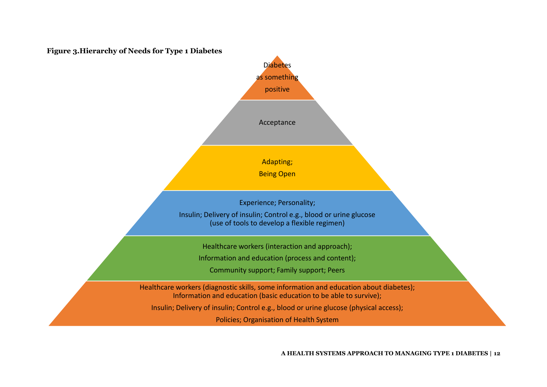<span id="page-12-1"></span><span id="page-12-0"></span>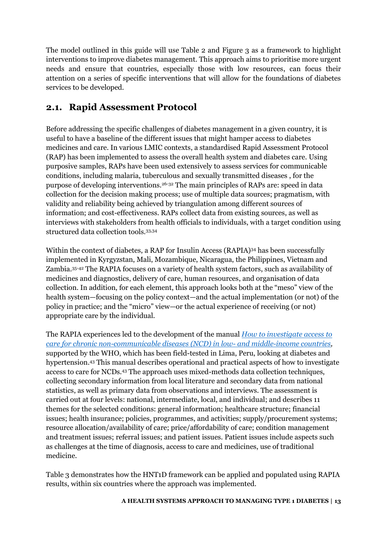The model outlined in this guide will use [Table 2](#page-11-1) and [Figure 3](#page-12-0) as a framework to highlight interventions to improve diabetes management. This approach aims to prioritise more urgent needs and ensure that countries, especially those with low resources, can focus their attention on a series of specific interventions that will allow for the foundations of diabetes services to be developed.

### <span id="page-13-0"></span>**2.1. Rapid Assessment Protocol**

Before addressing the specific challenges of diabetes management in a given country, it is useful to have a baseline of the different issues that might hamper access to diabetes medicines and care. In various LMIC contexts, a standardised Rapid Assessment Protocol (RAP) has been implemented to assess the overall health system and diabetes care. Using purposive samples, RAPs have been used extensively to assess services for communicable conditions, including malaria, tuberculous and sexually transmitted diseases , for the purpose of developing interventions.26-32 The main principles of RAPs are: speed in data collection for the decision making process; use of multiple data sources; pragmatism, with validity and reliability being achieved by triangulation among different sources of information; and cost-effectiveness. RAPs collect data from existing sources, as well as interviews with stakeholders from health officials to individuals, with a target condition using structured data collection tools.33,34

Within the context of diabetes, a RAP for Insulin Access (RAPIA)34 has been successfully implemented in Kyrgyzstan, Mali, Mozambique, Nicaragua, the Philippines, Vietnam and Zambia.35-42 The RAPIA focuses on a variety of health system factors, such as availability of medicines and diagnostics, delivery of care, human resources, and organisation of data collection. In addition, for each element, this approach looks both at the "meso" view of the health system—focusing on the policy context—and the actual implementation (or not) of the policy in practice; and the "micro" view—or the actual experience of receiving (or not) appropriate care by the individual.

The RAPIA experiences led to the development of the manual *[How to investigate access to](http://apps.who.int/medicinedocs/en/m/abstract/Js20981en/)  [care for chronic non-communicable diseases \(NCD\) in low- and middle-income countries,](http://apps.who.int/medicinedocs/en/m/abstract/Js20981en/)* supported by the WHO, which has been field-tested in Lima, Peru, looking at diabetes and hypertension.43 This manual describes operational and practical aspects of how to investigate access to care for NCDs.43 The approach uses mixed-methods data collection techniques, collecting secondary information from local literature and secondary data from national statistics, as well as primary data from observations and interviews. The assessment is carried out at four levels: national, intermediate, local, and individual; and describes 11 themes for the selected conditions: general information; healthcare structure; financial issues; health insurance; policies, programmes, and activities; supply/procurement systems; resource allocation/availability of care; price/affordability of care; condition management and treatment issues; referral issues; and patient issues. Patient issues include aspects such as challenges at the time of diagnosis, access to care and medicines, use of traditional medicine.

Table 3 demonstrates how the HNT1D framework can be applied and populated using RAPIA results, within six countries where the approach was implemented.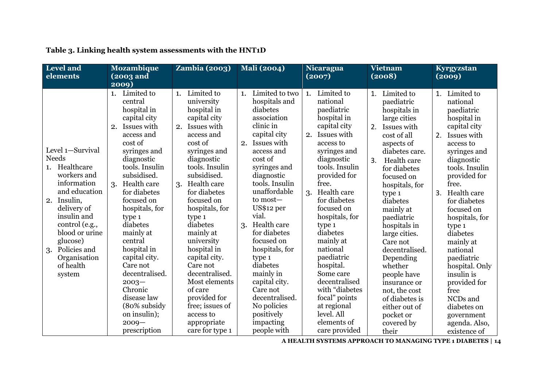<span id="page-14-0"></span>

| <b>Level</b> and<br>elements                                                                                                                                                                                                                                  | <b>Mozambique</b><br>(2003 and<br>2009)                                                                                                                                                                                                                                                                                                                                                                                                                 | $Zambia$ (2003)                                                                                                                                                                                                                                                                                                                                                                                                                                                              | Mali (2004)                                                                                                                                                                                                                                                                                                                                                                                                                                                    | <b>Nicaragua</b><br>(2007)                                                                                                                                                                                                                                                                                                                                                                                                                                  | <b>Vietnam</b><br>(2008)                                                                                                                                                                                                                                                                                                                                                                                                                                               | Kyrgyzstan<br>(2009)                                                                                                                                                                                                                                                                                                                                                                                                                                     |
|---------------------------------------------------------------------------------------------------------------------------------------------------------------------------------------------------------------------------------------------------------------|---------------------------------------------------------------------------------------------------------------------------------------------------------------------------------------------------------------------------------------------------------------------------------------------------------------------------------------------------------------------------------------------------------------------------------------------------------|------------------------------------------------------------------------------------------------------------------------------------------------------------------------------------------------------------------------------------------------------------------------------------------------------------------------------------------------------------------------------------------------------------------------------------------------------------------------------|----------------------------------------------------------------------------------------------------------------------------------------------------------------------------------------------------------------------------------------------------------------------------------------------------------------------------------------------------------------------------------------------------------------------------------------------------------------|-------------------------------------------------------------------------------------------------------------------------------------------------------------------------------------------------------------------------------------------------------------------------------------------------------------------------------------------------------------------------------------------------------------------------------------------------------------|------------------------------------------------------------------------------------------------------------------------------------------------------------------------------------------------------------------------------------------------------------------------------------------------------------------------------------------------------------------------------------------------------------------------------------------------------------------------|----------------------------------------------------------------------------------------------------------------------------------------------------------------------------------------------------------------------------------------------------------------------------------------------------------------------------------------------------------------------------------------------------------------------------------------------------------|
| Level 1-Survival<br><b>Needs</b><br>Healthcare<br>1.<br>workers and<br>information<br>and education<br>2. Insulin,<br>delivery of<br>insulin and<br>control (e.g.,<br>blood or urine<br>glucose)<br>Policies and<br>3.<br>Organisation<br>of health<br>system | Limited to<br>1.<br>central<br>hospital in<br>capital city<br>Issues with<br>2.<br>access and<br>cost of<br>syringes and<br>diagnostic<br>tools. Insulin<br>subsidised.<br>3. Health care<br>for diabetes<br>focused on<br>hospitals, for<br>type 1<br>diabetes<br>mainly at<br>central<br>hospital in<br>capital city.<br>Care not<br>decentralised.<br>$2003 -$<br>Chronic<br>disease law<br>(80% subsidy<br>on insulin);<br>$2009 -$<br>prescription | Limited to<br>1.<br>university<br>hospital in<br>capital city<br>Issues with<br>2.<br>access and<br>cost of<br>syringes and<br>diagnostic<br>tools. Insulin<br>subsidised.<br>Health care<br>3.<br>for diabetes<br>focused on<br>hospitals, for<br>type 1<br>diabetes<br>mainly at<br>university<br>hospital in<br>capital city.<br>Care not<br>decentralised.<br>Most elements<br>of care<br>provided for<br>free; issues of<br>access to<br>appropriate<br>care for type 1 | Limited to two<br>1.<br>hospitals and<br>diabetes<br>association<br>clinic in<br>capital city<br>Issues with<br>2.<br>access and<br>cost of<br>syringes and<br>diagnostic<br>tools. Insulin<br>unaffordable<br>to most-<br>US\$12 per<br>vial.<br>Health care<br>3.<br>for diabetes<br>focused on<br>hospitals, for<br>type 1<br>diabetes<br>mainly in<br>capital city.<br>Care not<br>decentralised.<br>No policies<br>positively<br>impacting<br>people with | Limited to<br>1.<br>national<br>paediatric<br>hospital in<br>capital city<br>2. Issues with<br>access to<br>syringes and<br>diagnostic<br>tools. Insulin<br>provided for<br>free.<br>3. Health care<br>for diabetes<br>focused on<br>hospitals, for<br>type 1<br>diabetes<br>mainly at<br>national<br>paediatric<br>hospital.<br>Some care<br>decentralised<br>with "diabetes<br>focal" points<br>at regional<br>level. All<br>elements of<br>care provided | Limited to<br>1.<br>paediatric<br>hospitals in<br>large cities<br>Issues with<br>2.<br>cost of all<br>aspects of<br>diabetes care.<br>3.<br>Health care<br>for diabetes<br>focused on<br>hospitals, for<br>type 1<br>diabetes<br>mainly at<br>paediatric<br>hospitals in<br>large cities.<br>Care not<br>decentralised.<br>Depending<br>whether<br>people have<br>insurance or<br>not, the cost<br>of diabetes is<br>either out of<br>pocket or<br>covered by<br>their | Limited to<br>1.<br>national<br>paediatric<br>hospital in<br>capital city<br>Issues with<br>2.<br>access to<br>syringes and<br>diagnostic<br>tools. Insulin<br>provided for<br>free.<br>Health care<br>3.<br>for diabetes<br>focused on<br>hospitals, for<br>type 1<br>diabetes<br>mainly at<br>national<br>paediatric<br>hospital. Only<br>insulin is<br>provided for<br>free<br>NCDs and<br>diabetes on<br>government<br>agenda. Also,<br>existence of |

### **Table 3. Linking health system assessments with the HNT1D**

**A HEALTH SYSTEMS APPROACH TO MANAGING TYPE 1 DIABETES | 14**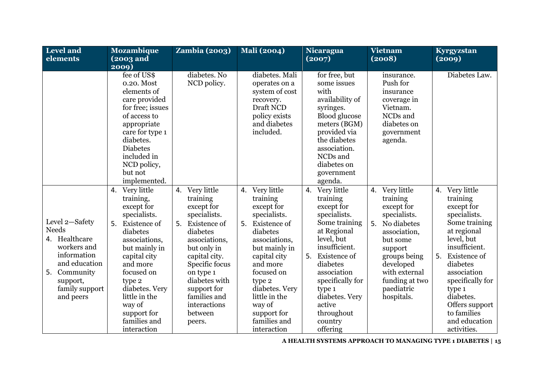| Level and<br>elements                                                                                                                                        | <b>Mozambique</b><br>(2003 and                                                                                                                                                                                                                                                      | <b>Zambia (2003)</b>                                                                                                                                                                                                                                                   | <b>Mali</b> (2004)                                                                                                                                                                                                                                                                    | Nicaragua<br>(2007)                                                                                                                                                                                                                                                  | <b>Vietnam</b><br>(2008)                                                                                                                                                                                         | Kyrgyzstan<br>(2009)                                                                                                                                                                                                                                                                           |
|--------------------------------------------------------------------------------------------------------------------------------------------------------------|-------------------------------------------------------------------------------------------------------------------------------------------------------------------------------------------------------------------------------------------------------------------------------------|------------------------------------------------------------------------------------------------------------------------------------------------------------------------------------------------------------------------------------------------------------------------|---------------------------------------------------------------------------------------------------------------------------------------------------------------------------------------------------------------------------------------------------------------------------------------|----------------------------------------------------------------------------------------------------------------------------------------------------------------------------------------------------------------------------------------------------------------------|------------------------------------------------------------------------------------------------------------------------------------------------------------------------------------------------------------------|------------------------------------------------------------------------------------------------------------------------------------------------------------------------------------------------------------------------------------------------------------------------------------------------|
|                                                                                                                                                              | 2009)                                                                                                                                                                                                                                                                               |                                                                                                                                                                                                                                                                        |                                                                                                                                                                                                                                                                                       |                                                                                                                                                                                                                                                                      |                                                                                                                                                                                                                  |                                                                                                                                                                                                                                                                                                |
|                                                                                                                                                              | fee of US\$<br>0.20. Most<br>elements of<br>care provided<br>for free; issues<br>of access to<br>appropriate<br>care for type 1<br>diabetes.<br><b>Diabetes</b><br>included in<br>NCD policy,<br>but not<br>implemented.                                                            | diabetes. No<br>NCD policy.                                                                                                                                                                                                                                            | diabetes. Mali<br>operates on a<br>system of cost<br>recovery.<br>Draft NCD<br>policy exists<br>and diabetes<br>included.                                                                                                                                                             | for free, but<br>some issues<br>with<br>availability of<br>syringes.<br><b>Blood glucose</b><br>meters (BGM)<br>provided via<br>the diabetes<br>association.<br>NCDs and<br>diabetes on<br>government<br>agenda.                                                     | insurance.<br>Push for<br>insurance<br>coverage in<br>Vietnam.<br>NCDs and<br>diabetes on<br>government<br>agenda.                                                                                               | Diabetes Law.                                                                                                                                                                                                                                                                                  |
| Level 2-Safety<br><b>Needs</b><br>4. Healthcare<br>workers and<br>information<br>and education<br>Community<br>5.<br>support,<br>family support<br>and peers | 4. Very little<br>training,<br>except for<br>specialists.<br><b>Existence</b> of<br>5.<br>diabetes<br>associations,<br>but mainly in<br>capital city<br>and more<br>focused on<br>type 2<br>diabetes. Very<br>little in the<br>way of<br>support for<br>families and<br>interaction | 4. Very little<br>training<br>except for<br>specialists.<br><b>Existence</b> of<br>5.<br>diabetes<br>associations,<br>but only in<br>capital city.<br>Specific focus<br>on type 1<br>diabetes with<br>support for<br>families and<br>interactions<br>between<br>peers. | Very little<br>4.<br>training<br>except for<br>specialists.<br><b>Existence</b> of<br>5.<br>diabetes<br>associations,<br>but mainly in<br>capital city<br>and more<br>focused on<br>type 2<br>diabetes. Very<br>little in the<br>way of<br>support for<br>families and<br>interaction | 4. Very little<br>training<br>except for<br>specialists.<br>Some training<br>at Regional<br>level, but<br>insufficient.<br>5. Existence of<br>diabetes<br>association<br>specifically for<br>type 1<br>diabetes. Very<br>active<br>throughout<br>country<br>offering | 4. Very little<br>training<br>except for<br>specialists.<br>No diabetes<br>5.<br>association,<br>but some<br>support<br>groups being<br>developed<br>with external<br>funding at two<br>paediatric<br>hospitals. | Very little<br>4.<br>training<br>except for<br>specialists.<br>Some training<br>at regional<br>level, but<br>insufficient.<br>5.<br><b>Existence</b> of<br>diabetes<br>association<br>specifically for<br>type 1<br>diabetes.<br>Offers support<br>to families<br>and education<br>activities. |

**A HEALTH SYSTEMS APPROACH TO MANAGING TYPE 1 DIABETES | 15**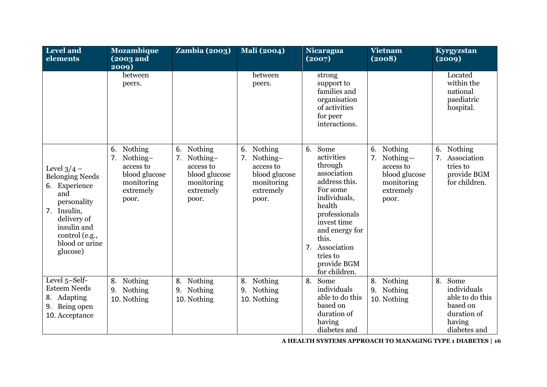| Level and<br>elements                                                                                                                                                             | <b>Mozambique</b><br>(2003 and<br>$\overline{2009}$                                         | <b>Zambia (2003)</b>                                                                           | <b>Mali</b> (2004)                                                                                | Nicaragua<br>(2007)                                                                                                                                                                                                                | Vietnam<br>(2008)                                                                           | Kyrgyzstan<br>(2009)                                                                              |
|-----------------------------------------------------------------------------------------------------------------------------------------------------------------------------------|---------------------------------------------------------------------------------------------|------------------------------------------------------------------------------------------------|---------------------------------------------------------------------------------------------------|------------------------------------------------------------------------------------------------------------------------------------------------------------------------------------------------------------------------------------|---------------------------------------------------------------------------------------------|---------------------------------------------------------------------------------------------------|
|                                                                                                                                                                                   | between<br>peers.                                                                           |                                                                                                | between<br>peers.                                                                                 | strong<br>support to<br>families and<br>organisation<br>of activities<br>for peer<br>interactions.                                                                                                                                 |                                                                                             | Located<br>within the<br>national<br>paediatric<br>hospital.                                      |
| Level $3/4$ –<br><b>Belonging Needs</b><br>Experience<br>6.<br>and<br>personality<br>Insulin,<br>7.<br>delivery of<br>insulin and<br>control (e.g.,<br>blood or urine<br>glucose) | 6. Nothing<br>7. Nothing-<br>access to<br>blood glucose<br>monitoring<br>extremely<br>poor. | Nothing<br>6.<br>7. Nothing-<br>access to<br>blood glucose<br>monitoring<br>extremely<br>poor. | 6.<br>Nothing<br>Nothing-<br>7.<br>access to<br>blood glucose<br>monitoring<br>extremely<br>poor. | Some<br>6.<br>activities<br>through<br>association<br>address this.<br>For some<br>individuals,<br>health<br>professionals<br>invest time<br>and energy for<br>this.<br>7. Association<br>tries to<br>provide BGM<br>for children. | 6. Nothing<br>7. Nothing-<br>access to<br>blood glucose<br>monitoring<br>extremely<br>poor. | 6.<br><b>Nothing</b><br>Association<br>7.<br>tries to<br>provide BGM<br>for children.             |
| Level 5-Self-<br><b>Esteem Needs</b><br>Adapting<br>8.<br>Being open<br>9.<br>10. Acceptance                                                                                      | 8. Nothing<br>9. Nothing<br>10. Nothing                                                     | Nothing<br>8.<br>9. Nothing<br>10. Nothing                                                     | Nothing<br>8.<br>Nothing<br>9.<br>10. Nothing                                                     | 8.<br>Some<br>individuals<br>able to do this<br>based on<br>duration of<br>having<br>diabetes and                                                                                                                                  | 8. Nothing<br>9. Nothing<br>10. Nothing                                                     | Some<br>8.<br>individuals<br>able to do this<br>based on<br>duration of<br>having<br>diabetes and |

**A HEALTH SYSTEMS APPROACH TO MANAGING TYPE 1 DIABETES | 16**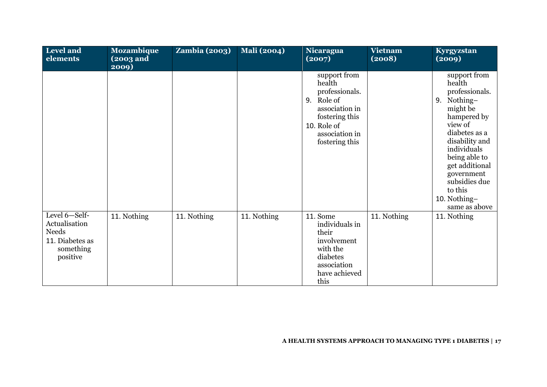| <b>Level and</b><br>elements                                                               | <b>Mozambique</b><br>(2003 and<br>2009) | <b>Zambia (2003)</b> | <b>Mali</b> (2004) | <b>Nicaragua</b><br>(2007)                                                                                                                    | <b>Vietnam</b><br>(2008) | Kyrgyzstan<br>(2009)                                                                                                                                                                                                                                             |
|--------------------------------------------------------------------------------------------|-----------------------------------------|----------------------|--------------------|-----------------------------------------------------------------------------------------------------------------------------------------------|--------------------------|------------------------------------------------------------------------------------------------------------------------------------------------------------------------------------------------------------------------------------------------------------------|
|                                                                                            |                                         |                      |                    | support from<br>health<br>professionals.<br>9. Role of<br>association in<br>fostering this<br>10. Role of<br>association in<br>fostering this |                          | support from<br>health<br>professionals.<br>Nothing-<br>9.<br>might be<br>hampered by<br>view of<br>diabetes as a<br>disability and<br>individuals<br>being able to<br>get additional<br>government<br>subsidies due<br>to this<br>10. Nothing-<br>same as above |
| Level 6-Self-<br>Actualisation<br><b>Needs</b><br>11. Diabetes as<br>something<br>positive | 11. Nothing                             | 11. Nothing          | 11. Nothing        | 11. Some<br>individuals in<br>their<br>involvement<br>with the<br>diabetes<br>association<br>have achieved<br>this                            | 11. Nothing              | 11. Nothing                                                                                                                                                                                                                                                      |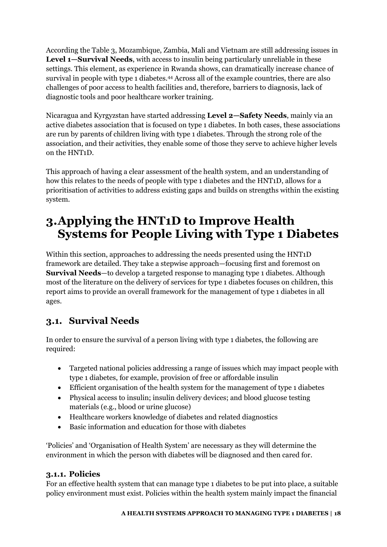According the Table 3, Mozambique, Zambia, Mali and Vietnam are still addressing issues in **Level 1—Survival Needs**, with access to insulin being particularly unreliable in these settings. This element, as experience in Rwanda shows, can dramatically increase chance of survival in people with type 1 diabetes.44 Across all of the example countries, there are also challenges of poor access to health facilities and, therefore, barriers to diagnosis, lack of diagnostic tools and poor healthcare worker training.

Nicaragua and Kyrgyzstan have started addressing **Level 2—Safety Needs**, mainly via an active diabetes association that is focused on type 1 diabetes. In both cases, these associations are run by parents of children living with type 1 diabetes. Through the strong role of the association, and their activities, they enable some of those they serve to achieve higher levels on the HNT1D.

This approach of having a clear assessment of the health system, and an understanding of how this relates to the needs of people with type 1 diabetes and the HNT1D, allows for a prioritisation of activities to address existing gaps and builds on strengths within the existing system.

# <span id="page-18-0"></span>**3.Applying the HNT1D to Improve Health Systems for People Living with Type 1 Diabetes**

Within this section, approaches to addressing the needs presented using the HNT1D framework are detailed. They take a stepwise approach—focusing first and foremost on **Survival Needs**—to develop a targeted response to managing type 1 diabetes. Although most of the literature on the delivery of services for type 1 diabetes focuses on children, this report aims to provide an overall framework for the management of type 1 diabetes in all ages.

### <span id="page-18-1"></span>**3.1. Survival Needs**

In order to ensure the survival of a person living with type 1 diabetes, the following are required:

- Targeted national policies addressing a range of issues which may impact people with type 1 diabetes, for example, provision of free or affordable insulin
- Efficient organisation of the health system for the management of type 1 diabetes
- Physical access to insulin; insulin delivery devices; and blood glucose testing materials (e.g., blood or urine glucose)
- Healthcare workers knowledge of diabetes and related diagnostics
- Basic information and education for those with diabetes

'Policies' and 'Organisation of Health System' are necessary as they will determine the environment in which the person with diabetes will be diagnosed and then cared for.

#### <span id="page-18-2"></span>**3.1.1. Policies**

For an effective health system that can manage type 1 diabetes to be put into place, a suitable policy environment must exist. Policies within the health system mainly impact the financial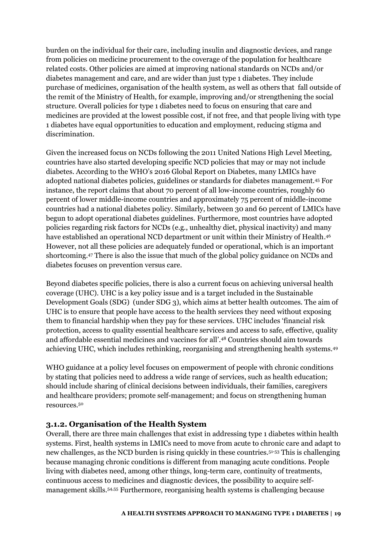burden on the individual for their care, including insulin and diagnostic devices, and range from policies on medicine procurement to the coverage of the population for healthcare related costs. Other policies are aimed at improving national standards on NCDs and/or diabetes management and care, and are wider than just type 1 diabetes. They include purchase of medicines, organisation of the health system, as well as others that fall outside of the remit of the Ministry of Health, for example, improving and/or strengthening the social structure. Overall policies for type 1 diabetes need to focus on ensuring that care and medicines are provided at the lowest possible cost, if not free, and that people living with type 1 diabetes have equal opportunities to education and employment, reducing stigma and discrimination.

Given the increased focus on NCDs following the 2011 United Nations High Level Meeting, countries have also started developing specific NCD policies that may or may not include diabetes. According to the WHO's 2016 Global Report on Diabetes, many LMICs have adopted national diabetes policies, guidelines or standards for diabetes management.45 For instance, the report claims that about 70 percent of all low-income countries, roughly 60 percent of lower middle-income countries and approximately 75 percent of middle-income countries had a national diabetes policy. Similarly, between 30 and 60 percent of LMICs have begun to adopt operational diabetes guidelines. Furthermore, most countries have adopted policies regarding risk factors for NCDs (e.g., unhealthy diet, physical inactivity) and many have established an operational NCD department or unit within their Ministry of Health.<sup>46</sup> However, not all these policies are adequately funded or operational, which is an important shortcoming.47 There is also the issue that much of the global policy guidance on NCDs and diabetes focuses on prevention versus care.

Beyond diabetes specific policies, there is also a current focus on achieving universal health coverage (UHC). UHC is a key policy issue and is a target included in the Sustainable Development Goals (SDG) (under SDG 3), which aims at better health outcomes. The aim of UHC is to ensure that people have access to the health services they need without exposing them to financial hardship when they pay for these services. UHC includes 'financial risk protection, access to quality essential healthcare services and access to safe, effective, quality and affordable essential medicines and vaccines for all'. <sup>48</sup> Countries should aim towards achieving UHC, which includes rethinking, reorganising and strengthening health systems.<sup>49</sup>

WHO guidance at a policy level focuses on empowerment of people with chronic conditions by stating that policies need to address a wide range of services, such as health education; should include sharing of clinical decisions between individuals, their families, caregivers and healthcare providers; promote self-management; and focus on strengthening human resources.<sup>50</sup>

#### <span id="page-19-0"></span>**3.1.2. Organisation of the Health System**

Overall, there are three main challenges that exist in addressing type 1 diabetes within health systems. First, health systems in LMICs need to move from acute to chronic care and adapt to new challenges, as the NCD burden is rising quickly in these countries.51-53 This is challenging because managing chronic conditions is different from managing acute conditions. People living with diabetes need, among other things, long-term care, continuity of treatments, continuous access to medicines and diagnostic devices, the possibility to acquire selfmanagement skills.54,55 Furthermore, reorganising health systems is challenging because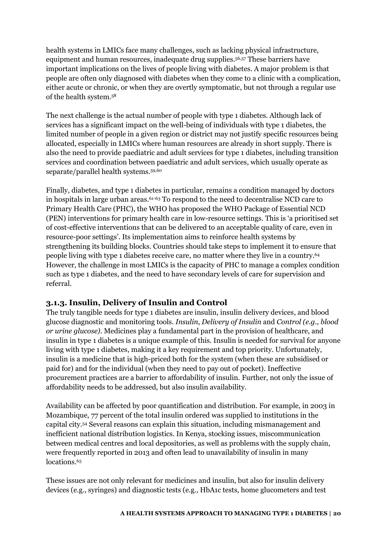health systems in LMICs face many challenges, such as lacking physical infrastructure, equipment and human resources, inadequate drug supplies.56,57 These barriers have important implications on the lives of people living with diabetes. A major problem is that people are often only diagnosed with diabetes when they come to a clinic with a complication, either acute or chronic, or when they are overtly symptomatic, but not through a regular use of the health system.<sup>58</sup>

The next challenge is the actual number of people with type 1 diabetes. Although lack of services has a significant impact on the well-being of individuals with type 1 diabetes, the limited number of people in a given region or district may not justify specific resources being allocated, especially in LMICs where human resources are already in short supply. There is also the need to provide paediatric and adult services for type 1 diabetes, including transition services and coordination between paediatric and adult services, which usually operate as separate/parallel health systems.59,60

Finally, diabetes, and type 1 diabetes in particular, remains a condition managed by doctors in hospitals in large urban areas.<sup>61-63</sup> To respond to the need to decentralise NCD care to Primary Health Care (PHC), the WHO has proposed the WHO Package of Essential NCD (PEN) interventions for primary health care in low-resource settings. This is 'a prioritised set of cost-effective interventions that can be delivered to an acceptable quality of care, even in resource-poor settings'. Its implementation aims to reinforce health systems by strengthening its building blocks. Countries should take steps to implement it to ensure that people living with type 1 diabetes receive care, no matter where they live in a country.<sup>64</sup> However, the challenge in most LMICs is the capacity of PHC to manage a complex condition such as type 1 diabetes, and the need to have secondary levels of care for supervision and referral.

#### <span id="page-20-0"></span>**3.1.3. Insulin, Delivery of Insulin and Control**

The truly tangible needs for type 1 diabetes are insulin, insulin delivery devices, and blood glucose diagnostic and monitoring tools. *Insulin*, *Delivery of Insulin* and *Control (e.g., blood or urine glucose)*. Medicines play a fundamental part in the provision of healthcare, and insulin in type 1 diabetes is a unique example of this. Insulin is needed for survival for anyone living with type 1 diabetes, making it a key requirement and top priority. Unfortunately, insulin is a medicine that is high-priced both for the system (when these are subsidised or paid for) and for the individual (when they need to pay out of pocket). Ineffective procurement practices are a barrier to affordability of insulin. Further, not only the issue of affordability needs to be addressed, but also insulin availability.

Availability can be affected by poor quantification and distribution. For example, in 2003 in Mozambique, 77 percent of the total insulin ordered was supplied to institutions in the capital city.54 Several reasons can explain this situation, including mismanagement and inefficient national distribution logistics. In Kenya, stocking issues, miscommunication between medical centres and local depositories, as well as problems with the supply chain, were frequently reported in 2013 and often lead to unavailability of insulin in many locations.<sup>65</sup>

These issues are not only relevant for medicines and insulin, but also for insulin delivery devices (e.g., syringes) and diagnostic tests (e.g., HbA1c tests, home glucometers and test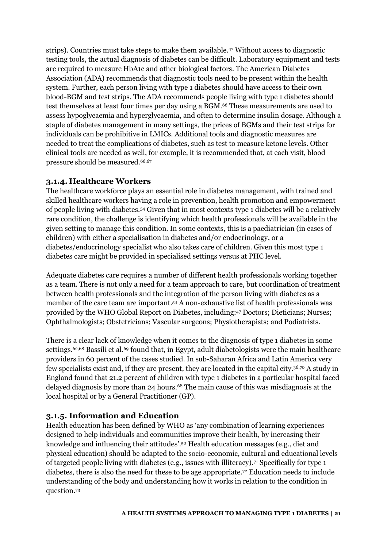strips). Countries must take steps to make them available.47 Without access to diagnostic testing tools, the actual diagnosis of diabetes can be difficult. Laboratory equipment and tests are required to measure HbA1c and other biological factors. The American Diabetes Association (ADA) recommends that diagnostic tools need to be present within the health system. Further, each person living with type 1 diabetes should have access to their own blood-BGM and test strips. The ADA recommends people living with type 1 diabetes should test themselves at least four times per day using a BGM.66 These measurements are used to assess hypoglycaemia and hyperglycaemia, and often to determine insulin dosage. Although a staple of diabetes management in many settings, the prices of BGMs and their test strips for individuals can be prohibitive in LMICs. Additional tools and diagnostic measures are needed to treat the complications of diabetes, such as test to measure ketone levels. Other clinical tools are needed as well, for example, it is recommended that, at each visit, blood pressure should be measured.66,67

#### <span id="page-21-0"></span>**3.1.4. Healthcare Workers**

The healthcare workforce plays an essential role in diabetes management, with trained and skilled healthcare workers having a role in prevention, health promotion and empowerment of people living with diabetes.54 Given that in most contexts type 1 diabetes will be a relatively rare condition, the challenge is identifying which health professionals will be available in the given setting to manage this condition. In some contexts, this is a paediatrician (in cases of children) with either a specialisation in diabetes and/or endocrinology, or a diabetes/endocrinology specialist who also takes care of children. Given this most type 1 diabetes care might be provided in specialised settings versus at PHC level.

Adequate diabetes care requires a number of different health professionals working together as a team. There is not only a need for a team approach to care, but coordination of treatment between health professionals and the integration of the person living with diabetes as a member of the care team are important.54 A non-exhaustive list of health professionals was provided by the WHO Global Report on Diabetes, including:47 Doctors; Dieticians; Nurses; Ophthalmologists; Obstetricians; Vascular surgeons; Physiotherapists; and Podiatrists.

There is a clear lack of knowledge when it comes to the diagnosis of type 1 diabetes in some settings.<sup>62,68</sup> Bassili et al.<sup>69</sup> found that, in Egypt, adult diabetologists were the main healthcare providers in 60 percent of the cases studied. In sub-Saharan Africa and Latin America very few specialists exist and, if they are present, they are located in the capital city.36,70 A study in England found that 21.2 percent of children with type 1 diabetes in a particular hospital faced delayed diagnosis by more than 24 hours.<sup>68</sup> The main cause of this was misdiagnosis at the local hospital or by a General Practitioner (GP).

#### <span id="page-21-1"></span>**3.1.5. Information and Education**

Health education has been defined by WHO as 'any combination of learning experiences designed to help individuals and communities improve their health, by increasing their knowledge and influencing their attitudes'. <sup>50</sup> Health education messages (e.g., diet and physical education) should be adapted to the socio-economic, cultural and educational levels of targeted people living with diabetes (e.g., issues with illiteracy).71 Specifically for type 1 diabetes, there is also the need for these to be age appropriate.72 Education needs to include understanding of the body and understanding how it works in relation to the condition in question.73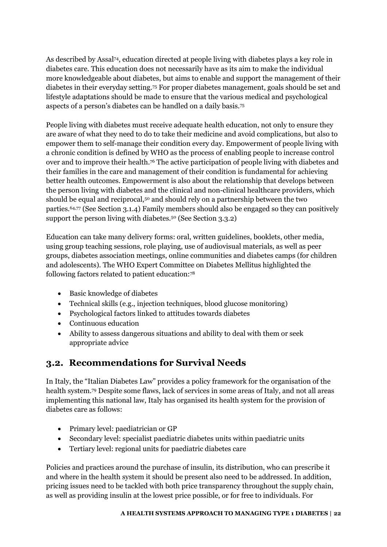As described by Assal74, education directed at people living with diabetes plays a key role in diabetes care. This education does not necessarily have as its aim to make the individual more knowledgeable about diabetes, but aims to enable and support the management of their diabetes in their everyday setting.75 For proper diabetes management, goals should be set and lifestyle adaptations should be made to ensure that the various medical and psychological aspects of a person's diabetes can be handled on a daily basis.<sup>75</sup>

People living with diabetes must receive adequate health education, not only to ensure they are aware of what they need to do to take their medicine and avoid complications, but also to empower them to self-manage their condition every day. Empowerment of people living with a chronic condition is defined by WHO as the process of enabling people to increase control over and to improve their health.<sup>76</sup> The active participation of people living with diabetes and their families in the care and management of their condition is fundamental for achieving better health outcomes. Empowerment is also about the relationship that develops between the person living with diabetes and the clinical and non-clinical healthcare providers, which should be equal and reciprocal,<sup>50</sup> and should rely on a partnership between the two parties.64,77 (See Section [3.1.4\)](#page-21-0) Family members should also be engaged so they can positively support the person living with diabetes.<sup>50</sup> (See Sectio[n 3.3.2\)](#page-27-2)

Education can take many delivery forms: oral, written guidelines, booklets, other media, using group teaching sessions, role playing, use of audiovisual materials, as well as peer groups, diabetes association meetings, online communities and diabetes camps (for children and adolescents). The WHO Expert Committee on Diabetes Mellitus highlighted the following factors related to patient education:<sup>78</sup>

- Basic knowledge of diabetes
- Technical skills (e.g., injection techniques, blood glucose monitoring)
- Psychological factors linked to attitudes towards diabetes
- Continuous education
- Ability to assess dangerous situations and ability to deal with them or seek appropriate advice

### <span id="page-22-0"></span>**3.2. Recommendations for Survival Needs**

In Italy, the "Italian Diabetes Law" provides a policy framework for the organisation of the health system.79 Despite some flaws, lack of services in some areas of Italy, and not all areas implementing this national law, Italy has organised its health system for the provision of diabetes care as follows:

- Primary level: paediatrician or GP
- Secondary level: specialist paediatric diabetes units within paediatric units
- Tertiary level: regional units for paediatric diabetes care

Policies and practices around the purchase of insulin, its distribution, who can prescribe it and where in the health system it should be present also need to be addressed. In addition, pricing issues need to be tackled with both price transparency throughout the supply chain, as well as providing insulin at the lowest price possible, or for free to individuals. For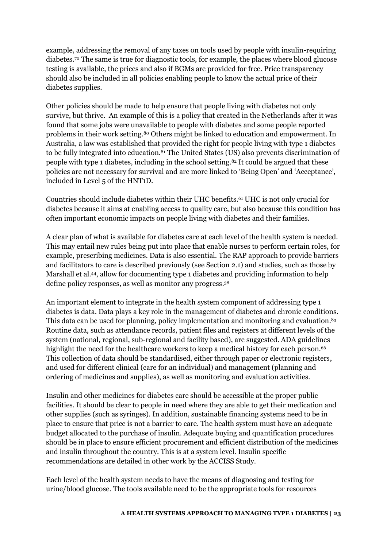example, addressing the removal of any taxes on tools used by people with insulin-requiring diabetes.70 The same is true for diagnostic tools, for example, the places where blood glucose testing is available, the prices and also if BGMs are provided for free. Price transparency should also be included in all policies enabling people to know the actual price of their diabetes supplies.

Other policies should be made to help ensure that people living with diabetes not only survive, but thrive. An example of this is a policy that created in the Netherlands after it was found that some jobs were unavailable to people with diabetes and some people reported problems in their work setting.80 Others might be linked to education and empowerment. In Australia, a law was established that provided the right for people living with type 1 diabetes to be fully integrated into education.<sup>81</sup> The United States (US) also prevents discrimination of people with type 1 diabetes, including in the school setting.82 It could be argued that these policies are not necessary for survival and are more linked to 'Being Open' and 'Acceptance', included in Level 5 of the HNT1D.

Countries should include diabetes within their UHC benefits.61 UHC is not only crucial for diabetes because it aims at enabling access to quality care, but also because this condition has often important economic impacts on people living with diabetes and their families.

A clear plan of what is available for diabetes care at each level of the health system is needed. This may entail new rules being put into place that enable nurses to perform certain roles, for example, prescribing medicines. Data is also essential. The RAP approach to provide barriers and facilitators to care is described previously (see Section [2.1\)](#page-13-0) and studies, such as those by Marshall et al.44, allow for documenting type 1 diabetes and providing information to help define policy responses, as well as monitor any progress.<sup>38</sup>

An important element to integrate in the health system component of addressing type 1 diabetes is data. Data plays a key role in the management of diabetes and chronic conditions. This data can be used for planning, policy implementation and monitoring and evaluation.<sup>83</sup> Routine data, such as attendance records, patient files and registers at different levels of the system (national, regional, sub-regional and facility based), are suggested. ADA guidelines highlight the need for the healthcare workers to keep a medical history for each person.<sup>66</sup> This collection of data should be standardised, either through paper or electronic registers, and used for different clinical (care for an individual) and management (planning and ordering of medicines and supplies), as well as monitoring and evaluation activities.

Insulin and other medicines for diabetes care should be accessible at the proper public facilities. It should be clear to people in need where they are able to get their medication and other supplies (such as syringes). In addition, sustainable financing systems need to be in place to ensure that price is not a barrier to care. The health system must have an adequate budget allocated to the purchase of insulin. Adequate buying and quantification procedures should be in place to ensure efficient procurement and efficient distribution of the medicines and insulin throughout the country. This is at a system level. Insulin specific recommendations are detailed in other work by the ACCISS Study.

Each level of the health system needs to have the means of diagnosing and testing for urine/blood glucose. The tools available need to be the appropriate tools for resources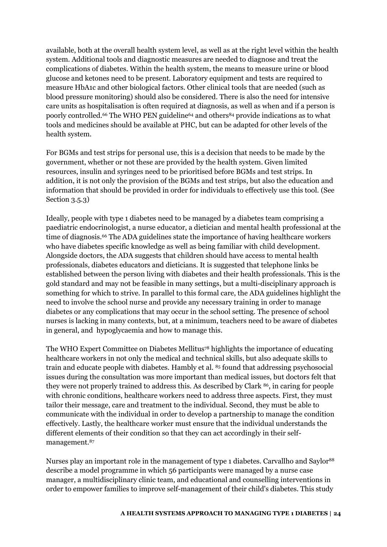available, both at the overall health system level, as well as at the right level within the health system. Additional tools and diagnostic measures are needed to diagnose and treat the complications of diabetes. Within the health system, the means to measure urine or blood glucose and ketones need to be present. Laboratory equipment and tests are required to measure HbA1c and other biological factors. Other clinical tools that are needed (such as blood pressure monitoring) should also be considered. There is also the need for intensive care units as hospitalisation is often required at diagnosis, as well as when and if a person is poorly controlled.<sup>66</sup> The WHO PEN guideline<sup>64</sup> and others<sup>84</sup> provide indications as to what tools and medicines should be available at PHC, but can be adapted for other levels of the health system.

For BGMs and test strips for personal use, this is a decision that needs to be made by the government, whether or not these are provided by the health system. Given limited resources, insulin and syringes need to be prioritised before BGMs and test strips. In addition, it is not only the provision of the BGMs and test strips, but also the education and information that should be provided in order for individuals to effectively use this tool. (See Section [3.5.3\)](#page-32-1)

Ideally, people with type 1 diabetes need to be managed by a diabetes team comprising a paediatric endocrinologist, a nurse educator, a dietician and mental health professional at the time of diagnosis.<sup>66</sup> The ADA guidelines state the importance of having healthcare workers who have diabetes specific knowledge as well as being familiar with child development. Alongside doctors, the ADA suggests that children should have access to mental health professionals, diabetes educators and dieticians. It is suggested that telephone links be established between the person living with diabetes and their health professionals. This is the gold standard and may not be feasible in many settings, but a multi-disciplinary approach is something for which to strive. In parallel to this formal care, the ADA guidelines highlight the need to involve the school nurse and provide any necessary training in order to manage diabetes or any complications that may occur in the school setting. The presence of school nurses is lacking in many contexts, but, at a minimum, teachers need to be aware of diabetes in general, and hypoglycaemia and how to manage this.

The WHO Expert Committee on Diabetes Mellitus<sup>78</sup> highlights the importance of educating healthcare workers in not only the medical and technical skills, but also adequate skills to train and educate people with diabetes. Hambly et al. 85 found that addressing psychosocial issues during the consultation was more important than medical issues, but doctors felt that they were not properly trained to address this. As described by Clark 86, in caring for people with chronic conditions, healthcare workers need to address three aspects. First, they must tailor their message, care and treatment to the individual. Second, they must be able to communicate with the individual in order to develop a partnership to manage the condition effectively. Lastly, the healthcare worker must ensure that the individual understands the different elements of their condition so that they can act accordingly in their selfmanagement.<sup>87</sup>

Nurses play an important role in the management of type 1 diabetes. Carvallho and Saylor<sup>88</sup> describe a model programme in which 56 participants were managed by a nurse case manager, a multidisciplinary clinic team, and educational and counselling interventions in order to empower families to improve self-management of their child's diabetes. This study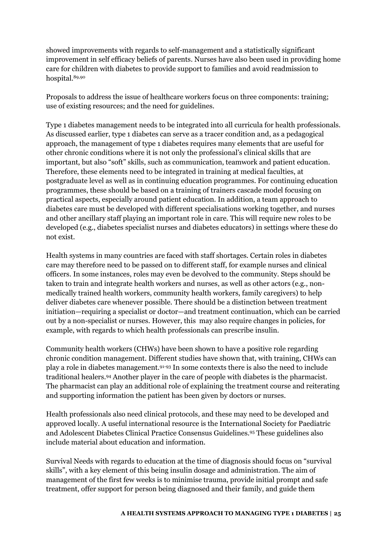showed improvements with regards to self-management and a statistically significant improvement in self efficacy beliefs of parents. Nurses have also been used in providing home care for children with diabetes to provide support to families and avoid readmission to hospital.89,90

Proposals to address the issue of healthcare workers focus on three components: training; use of existing resources; and the need for guidelines.

Type 1 diabetes management needs to be integrated into all curricula for health professionals. As discussed earlier, type 1 diabetes can serve as a tracer condition and, as a pedagogical approach, the management of type 1 diabetes requires many elements that are useful for other chronic conditions where it is not only the professional's clinical skills that are important, but also "soft" skills, such as communication, teamwork and patient education. Therefore, these elements need to be integrated in training at medical faculties, at postgraduate level as well as in continuing education programmes. For continuing education programmes, these should be based on a training of trainers cascade model focusing on practical aspects, especially around patient education. In addition, a team approach to diabetes care must be developed with different specialisations working together, and nurses and other ancillary staff playing an important role in care. This will require new roles to be developed (e.g., diabetes specialist nurses and diabetes educators) in settings where these do not exist.

Health systems in many countries are faced with staff shortages. Certain roles in diabetes care may therefore need to be passed on to different staff, for example nurses and clinical officers. In some instances, roles may even be devolved to the community. Steps should be taken to train and integrate health workers and nurses, as well as other actors (e.g., nonmedically trained health workers, community health workers, family caregivers) to help deliver diabetes care whenever possible. There should be a distinction between treatment initiation—requiring a specialist or doctor—and treatment continuation, which can be carried out by a non-specialist or nurses. However, this may also require changes in policies, for example, with regards to which health professionals can prescribe insulin.

Community health workers (CHWs) have been shown to have a positive role regarding chronic condition management. Different studies have shown that, with training, CHWs can play a role in diabetes management.91-93 In some contexts there is also the need to include traditional healers.94 Another player in the care of people with diabetes is the pharmacist. The pharmacist can play an additional role of explaining the treatment course and reiterating and supporting information the patient has been given by doctors or nurses.

Health professionals also need clinical protocols, and these may need to be developed and approved locally. A useful international resource is the International Society for Paediatric and Adolescent Diabetes Clinical Practice Consensus Guidelines.95 These guidelines also include material about education and information.

Survival Needs with regards to education at the time of diagnosis should focus on "survival skills", with a key element of this being insulin dosage and administration. The aim of management of the first few weeks is to minimise trauma, provide initial prompt and safe treatment, offer support for person being diagnosed and their family, and guide them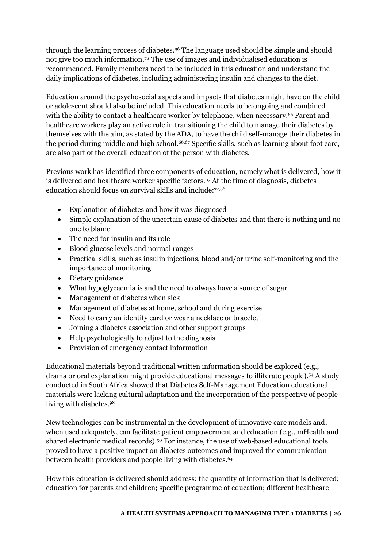through the learning process of diabetes.96 The language used should be simple and should not give too much information.78 The use of images and individualised education is recommended. Family members need to be included in this education and understand the daily implications of diabetes, including administering insulin and changes to the diet.

Education around the psychosocial aspects and impacts that diabetes might have on the child or adolescent should also be included. This education needs to be ongoing and combined with the ability to contact a healthcare worker by telephone, when necessary.<sup>66</sup> Parent and healthcare workers play an active role in transitioning the child to manage their diabetes by themselves with the aim, as stated by the ADA, to have the child self-manage their diabetes in the period during middle and high school.66,67 Specific skills, such as learning about foot care, are also part of the overall education of the person with diabetes.

Previous work has identified three components of education, namely what is delivered, how it is delivered and healthcare worker specific factors.97 At the time of diagnosis, diabetes education should focus on survival skills and include:72,96

- Explanation of diabetes and how it was diagnosed
- Simple explanation of the uncertain cause of diabetes and that there is nothing and no one to blame
- The need for insulin and its role
- Blood glucose levels and normal ranges
- Practical skills, such as insulin injections, blood and/or urine self-monitoring and the importance of monitoring
- Dietary guidance
- What hypoglycaemia is and the need to always have a source of sugar
- Management of diabetes when sick
- Management of diabetes at home, school and during exercise
- Need to carry an identity card or wear a necklace or bracelet
- Joining a diabetes association and other support groups
- Help psychologically to adjust to the diagnosis
- Provision of emergency contact information

Educational materials beyond traditional written information should be explored (e.g., drama or oral explanation might provide educational messages to illiterate people).54 A study conducted in South Africa showed that Diabetes Self-Management Education educational materials were lacking cultural adaptation and the incorporation of the perspective of people living with diabetes.<sup>98</sup>

New technologies can be instrumental in the development of innovative care models and, when used adequately, can facilitate patient empowerment and education (e.g., mHealth and shared electronic medical records).50 For instance, the use of web-based educational tools proved to have a positive impact on diabetes outcomes and improved the communication between health providers and people living with diabetes.<sup>64</sup>

How this education is delivered should address: the quantity of information that is delivered; education for parents and children; specific programme of education; different healthcare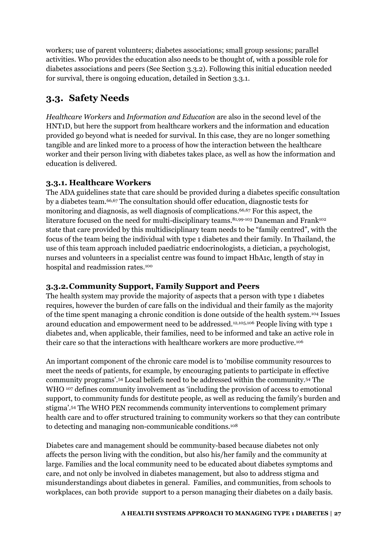workers; use of parent volunteers; diabetes associations; small group sessions; parallel activities. Who provides the education also needs to be thought of, with a possible role for diabetes associations and peers (See Section [3.3.2\)](#page-27-2). Following this initial education needed for survival, there is ongoing education, detailed in Section [3.3.1.](#page-27-1)

### <span id="page-27-0"></span>**3.3. Safety Needs**

*Healthcare Workers* and *Information and Education* are also in the second level of the HNT1D, but here the support from healthcare workers and the information and education provided go beyond what is needed for survival. In this case, they are no longer something tangible and are linked more to a process of how the interaction between the healthcare worker and their person living with diabetes takes place, as well as how the information and education is delivered.

#### <span id="page-27-1"></span>**3.3.1. Healthcare Workers**

The ADA guidelines state that care should be provided during a diabetes specific consultation by a diabetes team.66,67 The consultation should offer education, diagnostic tests for monitoring and diagnosis, as well diagnosis of complications.66,67 For this aspect, the literature focused on the need for multi-disciplinary teams.<sup>81,99-103</sup> Daneman and Frank<sup>102</sup> state that care provided by this multidisciplinary team needs to be "family centred", with the focus of the team being the individual with type 1 diabetes and their family. In Thailand, the use of this team approach included paediatric endocrinologists, a dietician, a psychologist, nurses and volunteers in a specialist centre was found to impact HbA1c, length of stay in hospital and readmission rates.<sup>100</sup>

#### <span id="page-27-2"></span>**3.3.2.Community Support, Family Support and Peers**

The health system may provide the majority of aspects that a person with type 1 diabetes requires, however the burden of care falls on the individual and their family as the majority of the time spent managing a chronic condition is done outside of the health system.104 Issues around education and empowerment need to be addressed.12,105,106 People living with type 1 diabetes and, when applicable, their families, need to be informed and take an active role in their care so that the interactions with healthcare workers are more productive.<sup>106</sup>

An important component of the chronic care model is to 'mobilise community resources to meet the needs of patients, for example, by encouraging patients to participate in effective community programs'. <sup>54</sup> Local beliefs need to be addressed within the community.54 The WHO <sup>107</sup> defines community involvement as 'including the provision of access to emotional support, to community funds for destitute people, as well as reducing the family's burden and stigma'. <sup>54</sup> The WHO PEN recommends community interventions to complement primary health care and to offer structured training to community workers so that they can contribute to detecting and managing non-communicable conditions.<sup>108</sup>

Diabetes care and management should be community-based because diabetes not only affects the person living with the condition, but also his/her family and the community at large. Families and the local community need to be educated about diabetes symptoms and care, and not only be involved in diabetes management, but also to address stigma and misunderstandings about diabetes in general. Families, and communities, from schools to workplaces, can both provide support to a person managing their diabetes on a daily basis.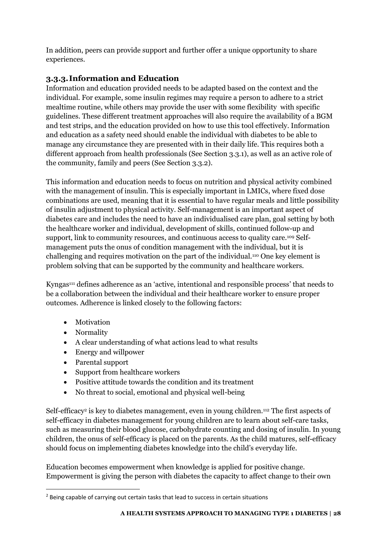In addition, peers can provide support and further offer a unique opportunity to share experiences.

#### <span id="page-28-0"></span>**3.3.3.Information and Education**

Information and education provided needs to be adapted based on the context and the individual. For example, some insulin regimes may require a person to adhere to a strict mealtime routine, while others may provide the user with some flexibility with specific guidelines. These different treatment approaches will also require the availability of a BGM and test strips, and the education provided on how to use this tool effectively. Information and education as a safety need should enable the individual with diabetes to be able to manage any circumstance they are presented with in their daily life. This requires both a different approach from health professionals (See Section [3.3.1\)](#page-27-1), as well as an active role of the community, family and peers (See Section [3.3.2\)](#page-27-2).

This information and education needs to focus on nutrition and physical activity combined with the management of insulin. This is especially important in LMICs, where fixed dose combinations are used, meaning that it is essential to have regular meals and little possibility of insulin adjustment to physical activity. Self-management is an important aspect of diabetes care and includes the need to have an individualised care plan, goal setting by both the healthcare worker and individual, development of skills, continued follow-up and support, link to community resources, and continuous access to quality care.<sup>109</sup> Selfmanagement puts the onus of condition management with the individual, but it is challenging and requires motivation on the part of the individual.110 One key element is problem solving that can be supported by the community and healthcare workers.

Kyngas<sup>111</sup> defines adherence as an 'active, intentional and responsible process' that needs to be a collaboration between the individual and their healthcare worker to ensure proper outcomes. Adherence is linked closely to the following factors:

- Motivation
- Normality

l

- A clear understanding of what actions lead to what results
- Energy and willpower
- Parental support
- Support from healthcare workers
- Positive attitude towards the condition and its treatment
- No threat to social, emotional and physical well-being

Self-efficacy<sup>2</sup> is key to diabetes management, even in young children.<sup>112</sup> The first aspects of self-efficacy in diabetes management for young children are to learn about self-care tasks, such as measuring their blood glucose, carbohydrate counting and dosing of insulin. In young children, the onus of self-efficacy is placed on the parents. As the child matures, self-efficacy should focus on implementing diabetes knowledge into the child's everyday life.

Education becomes empowerment when knowledge is applied for positive change. Empowerment is giving the person with diabetes the capacity to affect change to their own

<sup>&</sup>lt;sup>2</sup> Being capable of carrying out certain tasks that lead to success in certain situations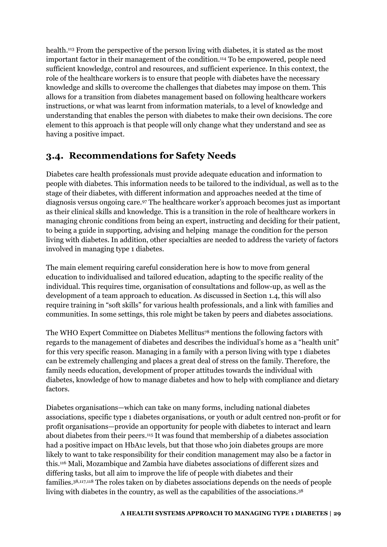health.113 From the perspective of the person living with diabetes, it is stated as the most important factor in their management of the condition.<sup>114</sup> To be empowered, people need sufficient knowledge, control and resources, and sufficient experience. In this context, the role of the healthcare workers is to ensure that people with diabetes have the necessary knowledge and skills to overcome the challenges that diabetes may impose on them. This allows for a transition from diabetes management based on following healthcare workers instructions, or what was learnt from information materials, to a level of knowledge and understanding that enables the person with diabetes to make their own decisions. The core element to this approach is that people will only change what they understand and see as having a positive impact.

### <span id="page-29-0"></span>**3.4. Recommendations for Safety Needs**

Diabetes care health professionals must provide adequate education and information to people with diabetes. This information needs to be tailored to the individual, as well as to the stage of their diabetes, with different information and approaches needed at the time of diagnosis versus ongoing care.<sup>97</sup> The healthcare worker's approach becomes just as important as their clinical skills and knowledge. This is a transition in the role of healthcare workers in managing chronic conditions from being an expert, instructing and deciding for their patient, to being a guide in supporting, advising and helping manage the condition for the person living with diabetes. In addition, other specialties are needed to address the variety of factors involved in managing type 1 diabetes.

The main element requiring careful consideration here is how to move from general education to individualised and tailored education, adapting to the specific reality of the individual. This requires time, organisation of consultations and follow-up, as well as the development of a team approach to education. As discussed in Section 1.4, this will also require training in "soft skills" for various health professionals, and a link with families and communities. In some settings, this role might be taken by peers and diabetes associations.

The WHO Expert Committee on Diabetes Mellitus78 mentions the following factors with regards to the management of diabetes and describes the individual's home as a "health unit" for this very specific reason. Managing in a family with a person living with type 1 diabetes can be extremely challenging and places a great deal of stress on the family. Therefore, the family needs education, development of proper attitudes towards the individual with diabetes, knowledge of how to manage diabetes and how to help with compliance and dietary factors.

Diabetes organisations—which can take on many forms, including national diabetes associations, specific type 1 diabetes organisations, or youth or adult centred non-profit or for profit organisations—provide an opportunity for people with diabetes to interact and learn about diabetes from their peers.115 It was found that membership of a diabetes association had a positive impact on HbA1c levels, but that those who join diabetes groups are more likely to want to take responsibility for their condition management may also be a factor in this.116 Mali, Mozambique and Zambia have diabetes associations of different sizes and differing tasks, but all aim to improve the life of people with diabetes and their families.38,117,118 The roles taken on by diabetes associations depends on the needs of people living with diabetes in the country, as well as the capabilities of the associations.<sup>38</sup>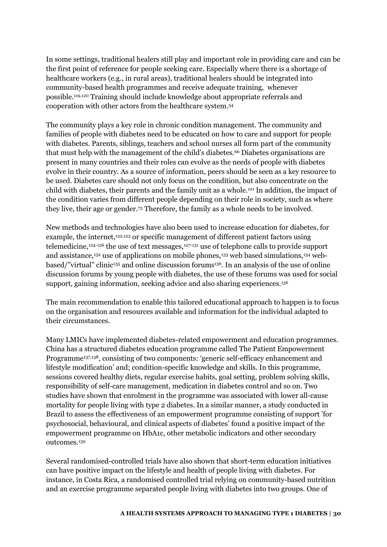In some settings, traditional healers still play and important role in providing care and can be the first point of reference for people seeking care. Especially where there is a shortage of healthcare workers (e.g., in rural areas), traditional healers should be integrated into community-based health programmes and receive adequate training, whenever possible.119,120 Training should include knowledge about appropriate referrals and cooperation with other actors from the healthcare system.<sup>54</sup>

The community plays a key role in chronic condition management. The community and families of people with diabetes need to be educated on how to care and support for people with diabetes. Parents, siblings, teachers and school nurses all form part of the community that must help with the management of the child's diabetes.<sup>66</sup> Diabetes organisations are present in many countries and their roles can evolve as the needs of people with diabetes evolve in their country. As a source of information, peers should be seen as a key resource to be used. Diabetes care should not only focus on the condition, but also concentrate on the child with diabetes, their parents and the family unit as a whole.121 In addition, the impact of the condition varies from different people depending on their role in society, such as where they live, their age or gender.<sup>73</sup> Therefore, the family as a whole needs to be involved.

New methods and technologies have also been used to increase education for diabetes, for example, the internet,<sup>122,123</sup> or specific management of different patient factors using telemedicine,124-126 the use of text messages,127-131 use of telephone calls to provide support and assistance,<sup>132</sup> use of applications on mobile phones,<sup>133</sup> web based simulations,<sup>134</sup> webbased/"virtual" clinic<sup>135</sup> and online discussion forums<sup>136</sup>. In an analysis of the use of online discussion forums by young people with diabetes, the use of these forums was used for social support, gaining information, seeking advice and also sharing experiences.<sup>136</sup>

The main recommendation to enable this tailored educational approach to happen is to focus on the organisation and resources available and information for the individual adapted to their circumstances.

Many LMICs have implemented diabetes-related empowerment and education programmes. China has a structured diabetes education programme called The Patient Empowerment Programme<sup>137,138</sup>, consisting of two components: 'generic self-efficacy enhancement and lifestyle modification' and; condition-specific knowledge and skills. In this programme, sessions covered healthy diets, regular exercise habits, goal setting, problem solving skills, responsibility of self-care management, medication in diabetes control and so on. Two studies have shown that enrolment in the programme was associated with lower all-cause mortality for people living with type 2 diabetes. In a similar manner, a study conducted in Brazil to assess the effectiveness of an empowerment programme consisting of support 'for psychosocial, behavioural, and clinical aspects of diabetes' found a positive impact of the empowerment programme on HbA1c, other metabolic indicators and other secondary outcomes.<sup>139</sup>

Several randomised-controlled trials have also shown that short-term education initiatives can have positive impact on the lifestyle and health of people living with diabetes. For instance, in Costa Rica, a randomised controlled trial relying on community-based nutrition and an exercise programme separated people living with diabetes into two groups. One of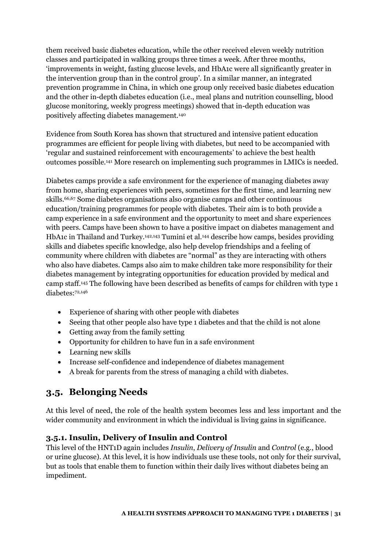them received basic diabetes education, while the other received eleven weekly nutrition classes and participated in walking groups three times a week. After three months, 'improvements in weight, fasting glucose levels, and HbA1c were all significantly greater in the intervention group than in the control group'. In a similar manner, an integrated prevention programme in China, in which one group only received basic diabetes education and the other in-depth diabetes education (i.e., meal plans and nutrition counselling, blood glucose monitoring, weekly progress meetings) showed that in-depth education was positively affecting diabetes management.<sup>140</sup>

Evidence from South Korea has shown that structured and intensive patient education programmes are efficient for people living with diabetes, but need to be accompanied with 'regular and sustained reinforcement with encouragements' to achieve the best health outcomes possible.141 More research on implementing such programmes in LMICs is needed.

Diabetes camps provide a safe environment for the experience of managing diabetes away from home, sharing experiences with peers, sometimes for the first time, and learning new skills.66,67 Some diabetes organisations also organise camps and other continuous education/training programmes for people with diabetes. Their aim is to both provide a camp experience in a safe environment and the opportunity to meet and share experiences with peers. Camps have been shown to have a positive impact on diabetes management and HbA1c in Thailand and Turkey.<sup>142,143</sup> Tumini et al.<sup>144</sup> describe how camps, besides providing skills and diabetes specific knowledge, also help develop friendships and a feeling of community where children with diabetes are "normal" as they are interacting with others who also have diabetes. Camps also aim to make children take more responsibility for their diabetes management by integrating opportunities for education provided by medical and camp staff.145 The following have been described as benefits of camps for children with type 1 diabetes:72,146

- Experience of sharing with other people with diabetes
- Seeing that other people also have type 1 diabetes and that the child is not alone
- Getting away from the family setting
- Opportunity for children to have fun in a safe environment
- Learning new skills
- Increase self-confidence and independence of diabetes management
- A break for parents from the stress of managing a child with diabetes.

### <span id="page-31-0"></span>**3.5. Belonging Needs**

At this level of need, the role of the health system becomes less and less important and the wider community and environment in which the individual is living gains in significance.

#### <span id="page-31-1"></span>**3.5.1. Insulin, Delivery of Insulin and Control**

This level of the HNT1D again includes *Insulin*, *Delivery of Insulin* and *Control* (e.g., blood or urine glucose). At this level, it is how individuals use these tools, not only for their survival, but as tools that enable them to function within their daily lives without diabetes being an impediment.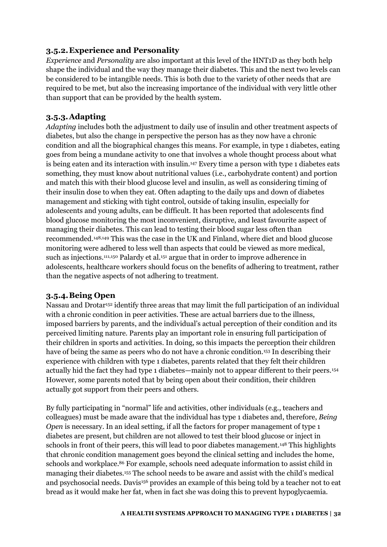#### <span id="page-32-0"></span>**3.5.2.Experience and Personality**

*Experience* and *Personality* are also important at this level of the HNT1D as they both help shape the individual and the way they manage their diabetes. This and the next two levels can be considered to be intangible needs. This is both due to the variety of other needs that are required to be met, but also the increasing importance of the individual with very little other than support that can be provided by the health system.

#### <span id="page-32-1"></span>**3.5.3.Adapting**

*Adapting* includes both the adjustment to daily use of insulin and other treatment aspects of diabetes, but also the change in perspective the person has as they now have a chronic condition and all the biographical changes this means. For example, in type 1 diabetes, eating goes from being a mundane activity to one that involves a whole thought process about what is being eaten and its interaction with insulin.<sup>147</sup> Every time a person with type 1 diabetes eats something, they must know about nutritional values (i.e., carbohydrate content) and portion and match this with their blood glucose level and insulin, as well as considering timing of their insulin dose to when they eat. Often adapting to the daily ups and down of diabetes management and sticking with tight control, outside of taking insulin, especially for adolescents and young adults, can be difficult. It has been reported that adolescents find blood glucose monitoring the most inconvenient, disruptive, and least favourite aspect of managing their diabetes. This can lead to testing their blood sugar less often than recommended.148,149 This was the case in the UK and Finland, where diet and blood glucose monitoring were adhered to less well than aspects that could be viewed as more medical, such as injections.<sup>111,150</sup> Palardy et al.<sup>151</sup> argue that in order to improve adherence in adolescents, healthcare workers should focus on the benefits of adhering to treatment, rather than the negative aspects of not adhering to treatment.

#### <span id="page-32-2"></span>**3.5.4.Being Open**

Nassau and Drotar<sup>152</sup> identify three areas that may limit the full participation of an individual with a chronic condition in peer activities. These are actual barriers due to the illness, imposed barriers by parents, and the individual's actual perception of their condition and its perceived limiting nature. Parents play an important role in ensuring full participation of their children in sports and activities. In doing, so this impacts the perception their children have of being the same as peers who do not have a chronic condition.<sup>153</sup> In describing their experience with children with type 1 diabetes, parents related that they felt their children actually hid the fact they had type 1 diabetes—mainly not to appear different to their peers.<sup>154</sup> However, some parents noted that by being open about their condition, their children actually got support from their peers and others.

By fully participating in "normal" life and activities, other individuals (e.g., teachers and colleagues) must be made aware that the individual has type 1 diabetes and, therefore, *Being Open* is necessary. In an ideal setting, if all the factors for proper management of type 1 diabetes are present, but children are not allowed to test their blood glucose or inject in schools in front of their peers, this will lead to poor diabetes management.<sup>148</sup> This highlights that chronic condition management goes beyond the clinical setting and includes the home, schools and workplace.<sup>86</sup> For example, schools need adequate information to assist child in managing their diabetes.155 The school needs to be aware and assist with the child's medical and psychosocial needs. Davis<sup>156</sup> provides an example of this being told by a teacher not to eat bread as it would make her fat, when in fact she was doing this to prevent hypoglycaemia.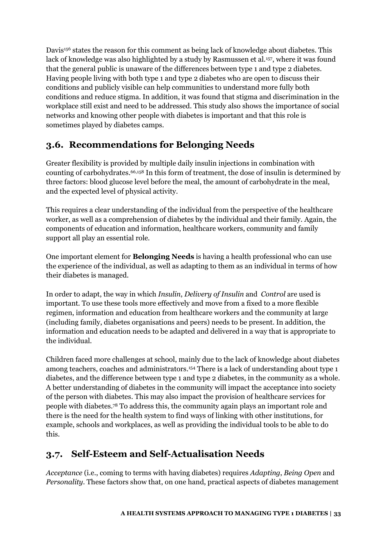Davis<sup>156</sup> states the reason for this comment as being lack of knowledge about diabetes. This lack of knowledge was also highlighted by a study by Rasmussen et al.<sup>157</sup>, where it was found that the general public is unaware of the differences between type 1 and type 2 diabetes. Having people living with both type 1 and type 2 diabetes who are open to discuss their conditions and publicly visible can help communities to understand more fully both conditions and reduce stigma. In addition, it was found that stigma and discrimination in the workplace still exist and need to be addressed. This study also shows the importance of social networks and knowing other people with diabetes is important and that this role is sometimes played by diabetes camps.

### <span id="page-33-0"></span>**3.6. Recommendations for Belonging Needs**

Greater flexibility is provided by multiple daily insulin injections in combination with counting of carbohydrates.66,158 In this form of treatment, the dose of insulin is determined by three factors: blood glucose level before the meal, the amount of carbohydrate in the meal, and the expected level of physical activity.

This requires a clear understanding of the individual from the perspective of the healthcare worker, as well as a comprehension of diabetes by the individual and their family. Again, the components of education and information, healthcare workers, community and family support all play an essential role.

One important element for **Belonging Needs** is having a health professional who can use the experience of the individual, as well as adapting to them as an individual in terms of how their diabetes is managed.

In order to adapt, the way in which *Insulin*, *Delivery of Insulin* and *Control* are used is important. To use these tools more effectively and move from a fixed to a more flexible regimen, information and education from healthcare workers and the community at large (including family, diabetes organisations and peers) needs to be present. In addition, the information and education needs to be adapted and delivered in a way that is appropriate to the individual.

Children faced more challenges at school, mainly due to the lack of knowledge about diabetes among teachers, coaches and administrators.154 There is a lack of understanding about type 1 diabetes, and the difference between type 1 and type 2 diabetes, in the community as a whole. A better understanding of diabetes in the community will impact the acceptance into society of the person with diabetes. This may also impact the provision of healthcare services for people with diabetes.78 To address this, the community again plays an important role and there is the need for the health system to find ways of linking with other institutions, for example, schools and workplaces, as well as providing the individual tools to be able to do this.

### <span id="page-33-1"></span>**3.7. Self-Esteem and Self-Actualisation Needs**

*Acceptance* (i.e., coming to terms with having diabetes) requires *Adapting*, *Being Open* and *Personality*. These factors show that, on one hand, practical aspects of diabetes management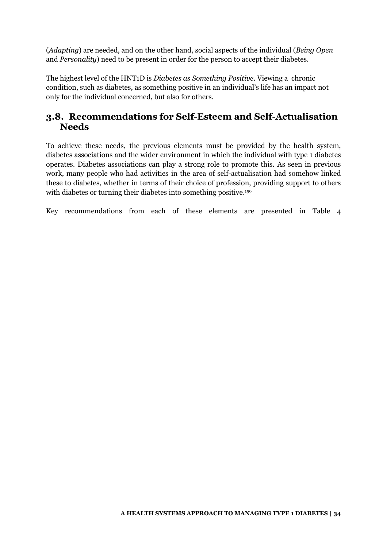(*Adapting*) are needed, and on the other hand, social aspects of the individual (*Being Open* and *Personality*) need to be present in order for the person to accept their diabetes.

The highest level of the HNT1D is *Diabetes as Something Positive*. Viewing a chronic condition, such as diabetes, as something positive in an individual's life has an impact not only for the individual concerned, but also for others.

### <span id="page-34-0"></span>**3.8. Recommendations for Self-Esteem and Self-Actualisation Needs**

To achieve these needs, the previous elements must be provided by the health system, diabetes associations and the wider environment in which the individual with type 1 diabetes operates. Diabetes associations can play a strong role to promote this. As seen in previous work, many people who had activities in the area of self-actualisation had somehow linked these to diabetes, whether in terms of their choice of profession, providing support to others with diabetes or turning their diabetes into something positive.<sup>159</sup>

Key recommendations from each of these elements are presented in [Table 4](#page-35-0)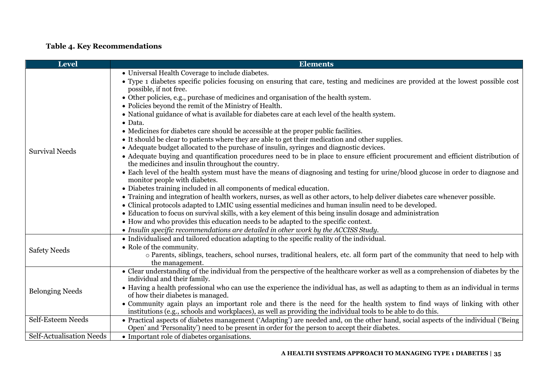### **Table 4. Key Recommendations**

<span id="page-35-0"></span>

| Level                           | <b>Elements</b>                                                                                                                                                                                                                                                                                                                                                                                                                                                                                                                                                                                                                                                                                                                                                                                                                                                                                                                                                                                                                                                                                                                                                                                                                                                                                                                                                                                                                                            |
|---------------------------------|------------------------------------------------------------------------------------------------------------------------------------------------------------------------------------------------------------------------------------------------------------------------------------------------------------------------------------------------------------------------------------------------------------------------------------------------------------------------------------------------------------------------------------------------------------------------------------------------------------------------------------------------------------------------------------------------------------------------------------------------------------------------------------------------------------------------------------------------------------------------------------------------------------------------------------------------------------------------------------------------------------------------------------------------------------------------------------------------------------------------------------------------------------------------------------------------------------------------------------------------------------------------------------------------------------------------------------------------------------------------------------------------------------------------------------------------------------|
| <b>Survival Needs</b>           | • Universal Health Coverage to include diabetes.<br>• Type 1 diabetes specific policies focusing on ensuring that care, testing and medicines are provided at the lowest possible cost<br>possible, if not free.<br>• Other policies, e.g., purchase of medicines and organisation of the health system.<br>• Policies beyond the remit of the Ministry of Health.<br>• National guidance of what is available for diabetes care at each level of the health system.<br>• Data.<br>• Medicines for diabetes care should be accessible at the proper public facilities.<br>• It should be clear to patients where they are able to get their medication and other supplies.<br>• Adequate budget allocated to the purchase of insulin, syringes and diagnostic devices.<br>• Adequate buying and quantification procedures need to be in place to ensure efficient procurement and efficient distribution of<br>the medicines and insulin throughout the country.<br>• Each level of the health system must have the means of diagnosing and testing for urine/blood glucose in order to diagnose and<br>monitor people with diabetes.<br>• Diabetes training included in all components of medical education.<br>• Training and integration of health workers, nurses, as well as other actors, to help deliver diabetes care whenever possible.<br>• Clinical protocols adapted to LMIC using essential medicines and human insulin need to be developed. |
| <b>Safety Needs</b>             | • Education to focus on survival skills, with a key element of this being insulin dosage and administration<br>• How and who provides this education needs to be adapted to the specific context.<br>• Insulin specific recommendations are detailed in other work by the ACCISS Study.<br>• Individualised and tailored education adapting to the specific reality of the individual.<br>• Role of the community.<br>o Parents, siblings, teachers, school nurses, traditional healers, etc. all form part of the community that need to help with                                                                                                                                                                                                                                                                                                                                                                                                                                                                                                                                                                                                                                                                                                                                                                                                                                                                                                        |
| <b>Belonging Needs</b>          | the management.<br>• Clear understanding of the individual from the perspective of the healthcare worker as well as a comprehension of diabetes by the<br>individual and their family.<br>• Having a health professional who can use the experience the individual has, as well as adapting to them as an individual in terms<br>of how their diabetes is managed.<br>• Community again plays an important role and there is the need for the health system to find ways of linking with other<br>institutions (e.g., schools and workplaces), as well as providing the individual tools to be able to do this.                                                                                                                                                                                                                                                                                                                                                                                                                                                                                                                                                                                                                                                                                                                                                                                                                                            |
| Self-Esteem Needs               | • Practical aspects of diabetes management ('Adapting') are needed and, on the other hand, social aspects of the individual ('Being<br>Open' and 'Personality') need to be present in order for the person to accept their diabetes.                                                                                                                                                                                                                                                                                                                                                                                                                                                                                                                                                                                                                                                                                                                                                                                                                                                                                                                                                                                                                                                                                                                                                                                                                       |
| <b>Self-Actualisation Needs</b> | • Important role of diabetes organisations.                                                                                                                                                                                                                                                                                                                                                                                                                                                                                                                                                                                                                                                                                                                                                                                                                                                                                                                                                                                                                                                                                                                                                                                                                                                                                                                                                                                                                |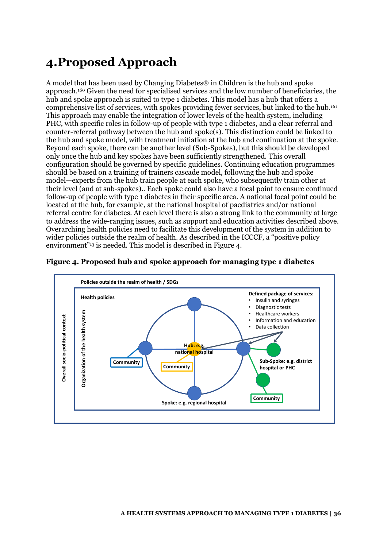# <span id="page-36-0"></span>**4.Proposed Approach**

A model that has been used by Changing Diabetes  $\circledcirc$  in Children is the hub and spoke approach.160 Given the need for specialised services and the low number of beneficiaries, the hub and spoke approach is suited to type 1 diabetes. This model has a hub that offers a comprehensive list of services, with spokes providing fewer services, but linked to the hub.<sup>161</sup> This approach may enable the integration of lower levels of the health system, including PHC, with specific roles in follow-up of people with type 1 diabetes, and a clear referral and counter-referral pathway between the hub and spoke(s). This distinction could be linked to the hub and spoke model, with treatment initiation at the hub and continuation at the spoke. Beyond each spoke, there can be another level (Sub-Spokes), but this should be developed only once the hub and key spokes have been sufficiently strengthened. This overall configuration should be governed by specific guidelines. Continuing education programmes should be based on a training of trainers cascade model, following the hub and spoke model—experts from the hub train people at each spoke, who subsequently train other at their level (and at sub-spokes).. Each spoke could also have a focal point to ensure continued follow-up of people with type 1 diabetes in their specific area. A national focal point could be located at the hub, for example, at the national hospital of paediatrics and/or national referral centre for diabetes. At each level there is also a strong link to the community at large to address the wide-ranging issues, such as support and education activities described above. Overarching health policies need to facilitate this development of the system in addition to wider policies outside the realm of health. As described in the ICCCF, a "positive policy environment"<sup>13</sup> is needed. This model is described in [Figure 4.](#page-36-1)



#### <span id="page-36-1"></span>**Figure 4. Proposed hub and spoke approach for managing type 1 diabetes**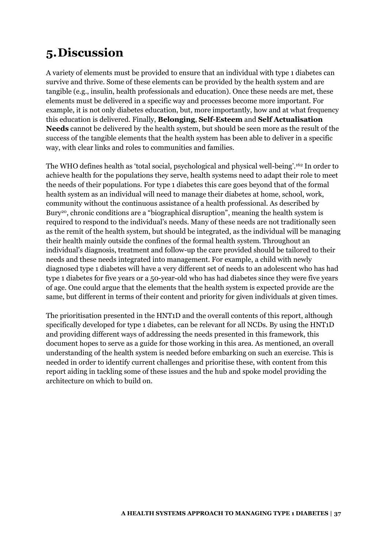# <span id="page-37-0"></span>**5.Discussion**

A variety of elements must be provided to ensure that an individual with type 1 diabetes can survive and thrive. Some of these elements can be provided by the health system and are tangible (e.g., insulin, health professionals and education). Once these needs are met, these elements must be delivered in a specific way and processes become more important. For example, it is not only diabetes education, but, more importantly, how and at what frequency this education is delivered. Finally, **Belonging**, **Self-Esteem** and **Self Actualisation Needs** cannot be delivered by the health system, but should be seen more as the result of the success of the tangible elements that the health system has been able to deliver in a specific way, with clear links and roles to communities and families.

The WHO defines health as 'total social, psychological and physical well-being'. <sup>162</sup> In order to achieve health for the populations they serve, health systems need to adapt their role to meet the needs of their populations. For type 1 diabetes this care goes beyond that of the formal health system as an individual will need to manage their diabetes at home, school, work, community without the continuous assistance of a health professional. As described by Bury<sup>20</sup>, chronic conditions are a "biographical disruption", meaning the health system is required to respond to the individual's needs. Many of these needs are not traditionally seen as the remit of the health system, but should be integrated, as the individual will be managing their health mainly outside the confines of the formal health system. Throughout an individual's diagnosis, treatment and follow-up the care provided should be tailored to their needs and these needs integrated into management. For example, a child with newly diagnosed type 1 diabetes will have a very different set of needs to an adolescent who has had type 1 diabetes for five years or a 50-year-old who has had diabetes since they were five years of age. One could argue that the elements that the health system is expected provide are the same, but different in terms of their content and priority for given individuals at given times.

The prioritisation presented in the HNT1D and the overall contents of this report, although specifically developed for type 1 diabetes, can be relevant for all NCDs. By using the HNT1D and providing different ways of addressing the needs presented in this framework, this document hopes to serve as a guide for those working in this area. As mentioned, an overall understanding of the health system is needed before embarking on such an exercise. This is needed in order to identify current challenges and prioritise these, with content from this report aiding in tackling some of these issues and the hub and spoke model providing the architecture on which to build on.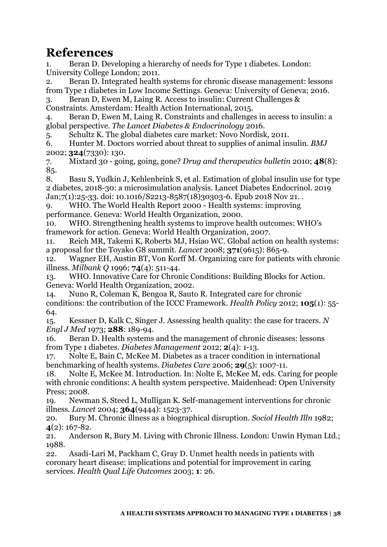## <span id="page-38-0"></span>**References**

1. Beran D. Developing a hierarchy of needs for Type 1 diabetes. London: University College London; 2011.

2. Beran D. Integrated health systems for chronic disease management: lessons from Type 1 diabetes in Low Income Settings. Geneva: University of Geneva; 2016.

3. Beran D, Ewen M, Laing R. Access to insulin: Current Challenges & Constraints. Amsterdam: Health Action International, 2015.

4. Beran D, Ewen M, Laing R. Constraints and challenges in access to insulin: a global perspective. *The Lancet Diabetes & Endocrinology* 2016.

5. Schultz K. The global diabetes care market: Novo Nordisk, 2011.

6. Hunter M. Doctors worried about threat to supplies of animal insulin. *BMJ* 2002; **324**(7330): 130.

7. Mixtard 30 - going, going, gone? *Drug and therapeutics bulletin* 2010; **48**(8): 85.

8. Basu S, Yudkin J, Kehlenbrink S, et al. Estimation of global insulin use for type 2 diabetes, 2018-30: a microsimulation analysis. Lancet Diabetes Endocrinol. 2019 Jan;7(1):25-33. doi: 10.1016/S2213-8587(18)30303-6. Epub 2018 Nov 21. .

9. WHO. The World Health Report 2000 - Health systems: improving

performance. Geneva: World Health Organization, 2000.

10. WHO. Strengthening health systems to improve health outcomes: WHO's framework for action. Geneva: World Health Organization, 2007.

11. Reich MR, Takemi K, Roberts MJ, Hsiao WC. Global action on health systems: a proposal for the Toyako G8 summit. *Lancet* 2008; **371**(9615): 865-9.

12. Wagner EH, Austin BT, Von Korff M. Organizing care for patients with chronic illness. *Milbank Q* 1996; **74**(4): 511-44.

13. WHO. Innovative Care for Chronic Conditions: Building Blocks for Action. Geneva: World Health Organization, 2002.

14. Nuno R, Coleman K, Bengoa R, Sauto R. Integrated care for chronic conditions: the contribution of the ICCC Framework. *Health Policy* 2012; **105**(1): 55- 64.

15. Kessner D, Kalk C, Singer J. Assessing health quality: the case for tracers. *N Engl J Med* 1973; **288**: 189-94.

16. Beran D. Health systems and the management of chronic diseases: lessons from Type 1 diabetes. *Diabetes Management* 2012; **2**(4): 1-13.

17. Nolte E, Bain C, McKee M. Diabetes as a tracer condition in international benchmarking of health systems. *Diabetes Care* 2006; **29**(5): 1007-11.

18. Nolte E, McKee M. Introduction. In: Nolte E, McKee M, eds. Caring for people with chronic conditions: A health system perspective. Maidenhead: Open University Press; 2008.

19. Newman S, Steed L, Mulligan K. Self-management interventions for chronic illness. *Lancet* 2004; **364**(9444): 1523-37.

20. Bury M. Chronic illness as a biographical disruption. *Sociol Health Illn* 1982; **4**(2): 167-82.

21. Anderson R, Bury M. Living with Chronic Illness. London: Unwin Hyman Ltd.; 1988.

22. Asadi-Lari M, Packham C, Gray D. Unmet health needs in patients with coronary heart disease: implications and potential for improvement in caring services. *Health Qual Life Outcomes* 2003; **1**: 26.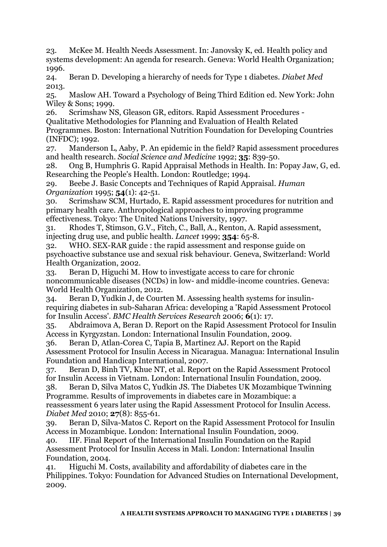23. McKee M. Health Needs Assessment. In: Janovsky K, ed. Health policy and systems development: An agenda for research. Geneva: World Health Organization; 1996.

24. Beran D. Developing a hierarchy of needs for Type 1 diabetes. *Diabet Med* 2013.

25. Maslow AH. Toward a Psychology of Being Third Edition ed. New York: John Wiley & Sons; 1999.

26. Scrimshaw NS, Gleason GR, editors. Rapid Assessment Procedures - Qualitative Methodologies for Planning and Evaluation of Health Related Programmes. Boston: International Nutrition Foundation for Developing Countries (INFDC); 1992.

27. Manderson L, Aaby, P. An epidemic in the field? Rapid assessment procedures and health research. *Social Science and Medicine* 1992; **35**: 839-50.

28. Ong B, Humphris G. Rapid Appraisal Methods in Health. In: Popay Jaw, G, ed. Researching the People's Health. London: Routledge; 1994.

29. Beebe J. Basic Concepts and Techniques of Rapid Appraisal. *Human Organization* 1995; **54**(1): 42-51.

30. Scrimshaw SCM, Hurtado, E. Rapid assessment procedures for nutrition and primary health care. Anthropological approaches to improving programme effectiveness. Tokyo: The United Nations University, 1997.

31. Rhodes T, Stimson, G.V., Fitch, C., Ball, A., Renton, A. Rapid assessment, injecting drug use, and public health. *Lancet* 1999; **354**: 65-8.

32. WHO. SEX-RAR guide : the rapid assessment and response guide on psychoactive substance use and sexual risk behaviour. Geneva, Switzerland: World Health Organization, 2002.

33. Beran D, Higuchi M. How to investigate access to care for chronic noncommunicable diseases (NCDs) in low- and middle-income countries. Geneva: World Health Organization, 2012.

34. Beran D, Yudkin J, de Courten M. Assessing health systems for insulinrequiring diabetes in sub-Saharan Africa: developing a 'Rapid Assessment Protocol for Insulin Access'. *BMC Health Services Research* 2006; **6**(1): 17.

35. Abdraimova A, Beran D. Report on the Rapid Assessment Protocol for Insulin Access in Kyrgyzstan. London: International Insulin Foundation, 2009.

36. Beran D, Atlan-Corea C, Tapia B, Martinez AJ. Report on the Rapid Assessment Protocol for Insulin Access in Nicaragua. Managua: International Insulin Foundation and Handicap International, 2007.

37. Beran D, Binh TV, Khue NT, et al. Report on the Rapid Assessment Protocol for Insulin Access in Vietnam. London: International Insulin Foundation, 2009.

38. Beran D, Silva Matos C, Yudkin JS. The Diabetes UK Mozambique Twinning Programme. Results of improvements in diabetes care in Mozambique: a reassessment 6 years later using the Rapid Assessment Protocol for Insulin Access. *Diabet Med* 2010; **27**(8): 855-61.

39. Beran D, Silva-Matos C. Report on the Rapid Assessment Protocol for Insulin Access in Mozambique. London: International Insulin Foundation, 2009.

40. IIF. Final Report of the International Insulin Foundation on the Rapid Assessment Protocol for Insulin Access in Mali. London: International Insulin Foundation, 2004.

41. Higuchi M. Costs, availability and affordability of diabetes care in the Philippines. Tokyo: Foundation for Advanced Studies on International Development, 2009.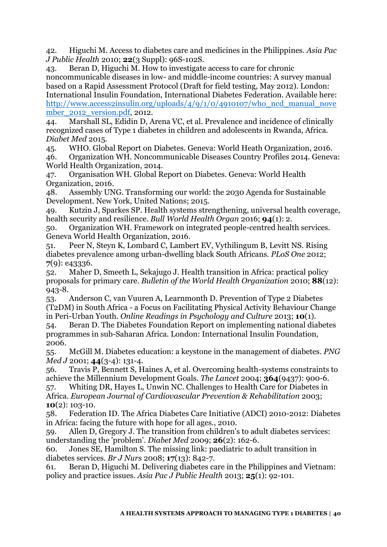42. Higuchi M. Access to diabetes care and medicines in the Philippines. *Asia Pac J Public Health* 2010; **22**(3 Suppl): 96S-102S.

43. Beran D, Higuchi M. How to investigate access to care for chronic noncommunicable diseases in low- and middle-income countries: A survey manual based on a Rapid Assessment Protocol (Draft for field testing, May 2012). London: International Insulin Foundation, International Diabetes Federation. Available here: [http://www.access2insulin.org/uploads/4/9/1/0/4910107/who\\_ncd\\_manual\\_nove](http://www.access2insulin.org/uploads/4/9/1/0/4910107/who_ncd_manual_november_2012_version.pdf) mber 2012 version.pdf, 2012.

44. Marshall SL, Edidin D, Arena VC, et al. Prevalence and incidence of clinically recognized cases of Type 1 diabetes in children and adolescents in Rwanda, Africa. *Diabet Med* 2015.

45. WHO. Global Report on Diabetes. Geneva: World Heath Organization, 2016. 46. Organization WH. Noncommunicable Diseases Country Profiles 2014. Geneva: World Health Organization, 2014.

47. Organisation WH. Global Report on Diabetes. Geneva: World Health Organization, 2016.

48. Assembly UNG. Transforming our world: the 2030 Agenda for Sustainable Development. New York, United Nations; 2015.

49. Kutzin J, Sparkes SP. Health systems strengthening, universal health coverage, health security and resilience. *Bull World Health Organ* 2016; **94**(1): 2.

50. Organization WH. Framework on integrated people-centred health services. Geneva World Health Organization, 2016.

51. Peer N, Steyn K, Lombard C, Lambert EV, Vythilingum B, Levitt NS. Rising diabetes prevalence among urban-dwelling black South Africans. *PLoS One* 2012; **7**(9): e43336.

52. Maher D, Smeeth L, Sekajugo J. Health transition in Africa: practical policy proposals for primary care. *Bulletin of the World Health Organization* 2010; **88**(12): 943-8.

53. Anderson C, van Vuuren A, Learnmonth D. Prevention of Type 2 Diabetes (T2DM) in South Africa - a Focus on Facilitating Physical Activity Behaviour Change in Peri-Urban Youth. *Online Readings in Psychology and Culture* 2013; **10**(1).

54. Beran D. The Diabetes Foundation Report on implementing national diabetes programmes in sub-Saharan Africa. London: International Insulin Foundation, 2006.

55. McGill M. Diabetes education: a keystone in the management of diabetes. *PNG Med J* 2001; **44**(3-4): 131-4.

56. Travis P, Bennett S, Haines A, et al. Overcoming health-systems constraints to achieve the Millennium Development Goals. *The Lancet* 2004; **364**(9437): 900-6.

57. Whiting DR, Hayes L, Unwin NC. Challenges to Health Care for Diabetes in Africa. *European Journal of Cardiovascular Prevention & Rehabilitation* 2003; **10**(2): 103-10.

58. Federation ID. The Africa Diabetes Care Initiative (ADCI) 2010-2012: Diabetes in Africa: facing the future with hope for all ages., 2010.

59. Allen D, Gregory J. The transition from children's to adult diabetes services: understanding the 'problem'. *Diabet Med* 2009; **26**(2): 162-6.

60. Jones SE, Hamilton S. The missing link: paediatric to adult transition in diabetes services. *Br J Nurs* 2008; **17**(13): 842-7.

61. Beran D, Higuchi M. Delivering diabetes care in the Philippines and Vietnam: policy and practice issues. *Asia Pac J Public Health* 2013; **25**(1): 92-101.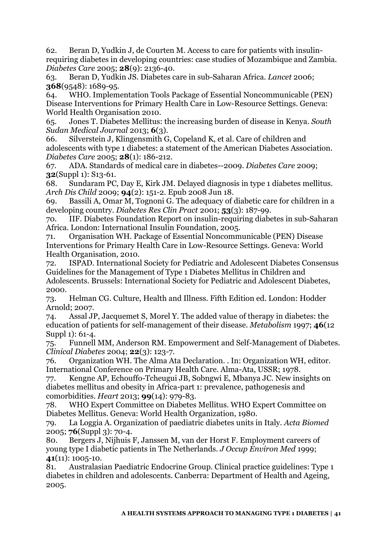62. Beran D, Yudkin J, de Courten M. Access to care for patients with insulinrequiring diabetes in developing countries: case studies of Mozambique and Zambia. *Diabetes Care* 2005; **28**(9): 2136-40.

63. Beran D, Yudkin JS. Diabetes care in sub-Saharan Africa. *Lancet* 2006; **368**(9548): 1689-95.

64. WHO. Implementation Tools Package of Essential Noncommunicable (PEN) Disease Interventions for Primary Health Care in Low-Resource Settings. Geneva: World Health Organisation 2010.

65. Jones T. Diabetes Mellitus: the increasing burden of disease in Kenya. *South Sudan Medical Journal* 2013; **6**(3).

66. Silverstein J, Klingensmith G, Copeland K, et al. Care of children and adolescents with type 1 diabetes: a statement of the American Diabetes Association. *Diabetes Care* 2005; **28**(1): 186-212.

67. ADA. Standards of medical care in diabetes--2009. *Diabetes Care* 2009; **32**(Suppl 1): S13-61.

68. Sundaram PC, Day E, Kirk JM. Delayed diagnosis in type 1 diabetes mellitus. *Arch Dis Child* 2009; **94**(2): 151-2. Epub 2008 Jun 18.

69. Bassili A, Omar M, Tognoni G. The adequacy of diabetic care for children in a developing country. *Diabetes Res Clin Pract* 2001; **53**(3): 187-99.

70. IIF. Diabetes Foundation Report on insulin-requiring diabetes in sub-Saharan Africa. London: International Insulin Foundation, 2005.

71. Organisation WH. Package of Essential Noncommunicable (PEN) Disease Interventions for Primary Health Care in Low-Resource Settings. Geneva: World Health Organisation, 2010.

72. ISPAD. International Society for Pediatric and Adolescent Diabetes Consensus Guidelines for the Management of Type 1 Diabetes Mellitus in Children and Adolescents. Brussels: International Society for Pediatric and Adolescent Diabetes, 2000.

73. Helman CG. Culture, Health and Illness. Fifth Edition ed. London: Hodder Arnold; 2007.

74. Assal JP, Jacquemet S, Morel Y. The added value of therapy in diabetes: the education of patients for self-management of their disease. *Metabolism* 1997; **46**(12 Suppl 1): 61-4.

75. Funnell MM, Anderson RM. Empowerment and Self-Management of Diabetes. *Clinical Diabetes* 2004; **22**(3): 123-7.

76. Organization WH. The Alma Ata Declaration. . In: Organization WH, editor. International Conference on Primary Health Care. Alma-Ata, USSR; 1978.

77. Kengne AP, Echouffo-Tcheugui JB, Sobngwi E, Mbanya JC. New insights on diabetes mellitus and obesity in Africa-part 1: prevalence, pathogenesis and comorbidities. *Heart* 2013; **99**(14): 979-83.

78. WHO Expert Committee on Diabetes Mellitus. WHO Expert Committee on Diabetes Mellitus. Geneva: World Health Organization, 1980.

79. La Loggia A. Organization of paediatric diabetes units in Italy. *Acta Biomed* 2005; **76**(Suppl 3): 70-4.

80. Bergers J, Nijhuis F, Janssen M, van der Horst F. Employment careers of young type I diabetic patients in The Netherlands. *J Occup Environ Med* 1999; **41**(11): 1005-10.

81. Australasian Paediatric Endocrine Group. Clinical practice guidelines: Type 1 diabetes in children and adolescents. Canberra: Department of Health and Ageing, 2005.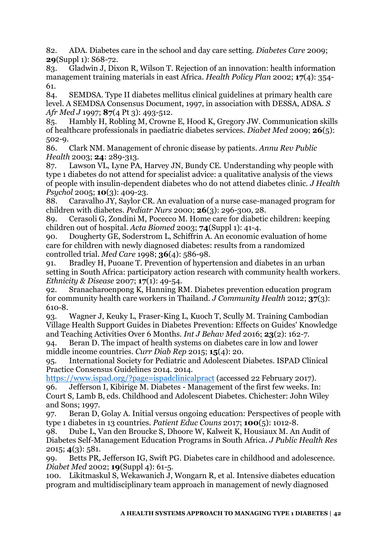82. ADA. Diabetes care in the school and day care setting. *Diabetes Care* 2009; **29**(Suppl 1): S68-72.

83. Gladwin J, Dixon R, Wilson T. Rejection of an innovation: health information management training materials in east Africa. *Health Policy Plan* 2002; **17**(4): 354- 61.

84. SEMDSA. Type II diabetes mellitus clinical guidelines at primary health care level. A SEMDSA Consensus Document, 1997, in association with DESSA, ADSA. *S Afr Med J* 1997; **87**(4 Pt 3): 493-512.

85. Hambly H, Robling M, Crowne E, Hood K, Gregory JW. Communication skills of healthcare professionals in paediatric diabetes services. *Diabet Med* 2009; **26**(5): 502-9.

86. Clark NM. Management of chronic disease by patients. *Annu Rev Public Health* 2003; **24**: 289-313.

87. Lawson VL, Lyne PA, Harvey JN, Bundy CE. Understanding why people with type 1 diabetes do not attend for specialist advice: a qualitative analysis of the views of people with insulin-dependent diabetes who do not attend diabetes clinic. *J Health Psychol* 2005; **10**(3): 409-23.

88. Caravalho JY, Saylor CR. An evaluation of a nurse case-managed program for children with diabetes. *Pediatr Nurs* 2000; **26**(3): 296-300, 28.

89. Cerasoli G, Zondini M, Pocecco M. Home care for diabetic children: keeping children out of hospital. *Acta Biomed* 2003; **74**(Suppl 1): 41-4.

90. Dougherty GE, Soderstrom L, Schiffrin A. An economic evaluation of home care for children with newly diagnosed diabetes: results from a randomized controlled trial. *Med Care* 1998; **36**(4): 586-98.

91. Bradley H, Puoane T. Prevention of hypertension and diabetes in an urban setting in South Africa: participatory action research with community health workers. *Ethnicity & Disease* 2007; **17**(1): 49-54.

92. Sranacharoenpong K, Hanning RM. Diabetes prevention education program for community health care workers in Thailand. *J Community Health* 2012; **37**(3): 610-8.

93. Wagner J, Keuky L, Fraser-King L, Kuoch T, Scully M. Training Cambodian Village Health Support Guides in Diabetes Prevention: Effects on Guides' Knowledge and Teaching Activities Over 6 Months. *Int J Behav Med* 2016; **23**(2): 162-7.

94. Beran D. The impact of health systems on diabetes care in low and lower middle income countries. *Curr Diab Rep* 2015; **15**(4): 20.

95. International Society for Pediatric and Adolescent Diabetes. ISPAD Clinical Practice Consensus Guidelines 2014. 2014.

<https://www.ispad.org/?page=ispadclinicalpract>(accessed 22 February 2017). 96. Jefferson I, Kibirige M. Diabetes - Management of the first few weeks. In: Court S, Lamb B, eds. Childhood and Adolescent Diabetes. Chichester: John Wiley and Sons; 1997.

97. Beran D, Golay A. Initial versus ongoing education: Perspectives of people with type 1 diabetes in 13 countries. *Patient Educ Couns* 2017; **100**(5): 1012-8.

98. Dube L, Van den Broucke S, Dhoore W, Kalweit K, Housiaux M. An Audit of Diabetes Self-Management Education Programs in South Africa. *J Public Health Res* 2015; **4**(3): 581.

99. Betts PR, Jefferson IG, Swift PG. Diabetes care in childhood and adolescence. *Diabet Med* 2002; **19**(Suppl 4): 61-5.

100. Likitmaskul S, Wekawanich J, Wongarn R, et al. Intensive diabetes education program and multidisciplinary team approach in management of newly diagnosed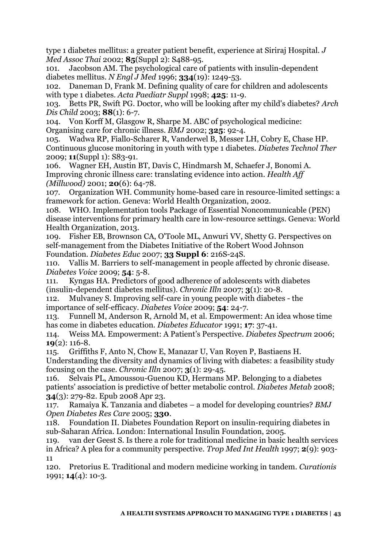type 1 diabetes mellitus: a greater patient benefit, experience at Siriraj Hospital. *J Med Assoc Thai* 2002; **85**(Suppl 2): S488-95.

101. Jacobson AM. The psychological care of patients with insulin-dependent diabetes mellitus. *N Engl J Med* 1996; **334**(19): 1249-53.

102. Daneman D, Frank M. Defining quality of care for children and adolescents with type 1 diabetes. *Acta Paediatr Suppl* 1998; **425**: 11-9.

103. Betts PR, Swift PG. Doctor, who will be looking after my child's diabetes? *Arch Dis Child* 2003; **88**(1): 6-7.

104. Von Korff M, Glasgow R, Sharpe M. ABC of psychological medicine: Organising care for chronic illness. *BMJ* 2002; **325**: 92-4.

105. Wadwa RP, Fiallo-Scharer R, Vanderwel B, Messer LH, Cobry E, Chase HP. Continuous glucose monitoring in youth with type 1 diabetes. *Diabetes Technol Ther* 2009; **11**(Suppl 1): S83-91.

106. Wagner EH, Austin BT, Davis C, Hindmarsh M, Schaefer J, Bonomi A. Improving chronic illness care: translating evidence into action. *Health Aff (Millwood)* 2001; **20**(6): 64-78.

107. Organization WH. Community home-based care in resource-limited settings: a framework for action. Geneva: World Health Organization, 2002.

108. WHO. Implementation tools Package of Essential Noncommunicable (PEN) disease interventions for primary health care in low-resource settings. Geneva: World Health Organization, 2013.

109. Fisher EB, Brownson CA, O'Toole ML, Anwuri VV, Shetty G. Perspectives on self-management from the Diabetes Initiative of the Robert Wood Johnson Foundation. *Diabetes Educ* 2007; **33 Suppl 6**: 216S-24S.

110. Vallis M. Barriers to self-management in people affected by chronic disease. *Diabetes Voice* 2009; **54**: 5-8.

111. Kyngas HA. Predictors of good adherence of adolescents with diabetes (insulin-dependent diabetes mellitus). *Chronic Illn* 2007; **3**(1): 20-8.

112. Mulvaney S. Improving self-care in young people with diabetes - the importance of self-efficacy. *Diabetes Voice* 2009; **54**: 24-7.

113. Funnell M, Anderson R, Arnold M, et al. Empowerment: An idea whose time has come in diabetes education. *Diabetes Educator* 1991; **17**: 37-41.

114. Weiss MA. Empowerment: A Patient's Perspective. *Diabetes Spectrum* 2006; **19**(2): 116-8.

115. Griffiths F, Anto N, Chow E, Manazar U, Van Royen P, Bastiaens H.

Understanding the diversity and dynamics of living with diabetes: a feasibility study focusing on the case. *Chronic Illn* 2007; **3**(1): 29-45.

116. Selvais PL, Amoussou-Guenou KD, Hermans MP. Belonging to a diabetes patients' association is predictive of better metabolic control. *Diabetes Metab* 2008; **34**(3): 279-82. Epub 2008 Apr 23.

117. Ramaiya K. Tanzania and diabetes – a model for developing countries? *BMJ Open Diabetes Res Care* 2005; **330**.

118. Foundation II. Diabetes Foundation Report on insulin-requiring diabetes in sub-Saharan Africa. London: International Insulin Foundation, 2005.

119. van der Geest S. Is there a role for traditional medicine in basic health services in Africa? A plea for a community perspective. *Trop Med Int Health* 1997; **2**(9): 903- 11

120. Pretorius E. Traditional and modern medicine working in tandem. *Curationis* 1991; **14**(4): 10-3.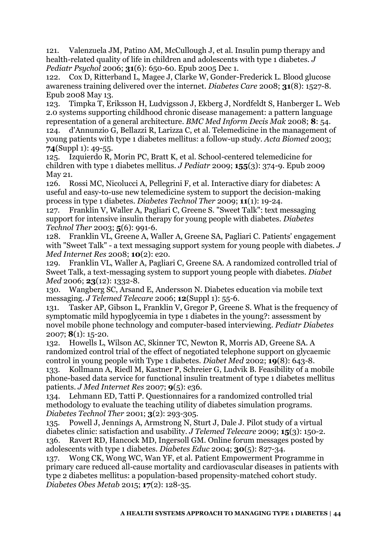121. Valenzuela JM, Patino AM, McCullough J, et al. Insulin pump therapy and health-related quality of life in children and adolescents with type 1 diabetes. *J Pediatr Psychol* 2006; **31**(6): 650-60. Epub 2005 Dec 1.

122. Cox D, Ritterband L, Magee J, Clarke W, Gonder-Frederick L. Blood glucose awareness training delivered over the internet. *Diabetes Care* 2008; **31**(8): 1527-8. Epub 2008 May 13.

123. Timpka T, Eriksson H, Ludvigsson J, Ekberg J, Nordfeldt S, Hanberger L. Web 2.0 systems supporting childhood chronic disease management: a pattern language representation of a general architecture. *BMC Med Inform Decis Mak* 2008; **8**: 54. 124. d'Annunzio G, Bellazzi R, Larizza C, et al. Telemedicine in the management of young patients with type 1 diabetes mellitus: a follow-up study. *Acta Biomed* 2003; **74**(Suppl 1): 49-55.

125. Izquierdo R, Morin PC, Bratt K, et al. School-centered telemedicine for children with type 1 diabetes mellitus. *J Pediatr* 2009; **155**(3): 374-9. Epub 2009 May 21.<br>126. R

126. Rossi MC, Nicolucci A, Pellegrini F, et al. Interactive diary for diabetes: A useful and easy-to-use new telemedicine system to support the decision-making process in type 1 diabetes. *Diabetes Technol Ther* 2009; **11**(1): 19-24.

127. Franklin V, Waller A, Pagliari C, Greene S. "Sweet Talk": text messaging support for intensive insulin therapy for young people with diabetes. *Diabetes Technol Ther* 2003; **5**(6): 991-6.

128. Franklin VL, Greene A, Waller A, Greene SA, Pagliari C. Patients' engagement with "Sweet Talk" - a text messaging support system for young people with diabetes. *J Med Internet Res* 2008; **10**(2): e20.

129. Franklin VL, Waller A, Pagliari C, Greene SA. A randomized controlled trial of Sweet Talk, a text-messaging system to support young people with diabetes. *Diabet Med* 2006; **23**(12): 1332-8.

130. Wangberg SC, Arsand E, Andersson N. Diabetes education via mobile text messaging. *J Telemed Telecare* 2006; **12**(Suppl 1): 55-6.

131. Tasker AP, Gibson L, Franklin V, Gregor P, Greene S. What is the frequency of symptomatic mild hypoglycemia in type 1 diabetes in the young?: assessment by novel mobile phone technology and computer-based interviewing. *Pediatr Diabetes* 2007; **8**(1): 15-20.

132. Howells L, Wilson AC, Skinner TC, Newton R, Morris AD, Greene SA. A randomized control trial of the effect of negotiated telephone support on glycaemic control in young people with Type 1 diabetes. *Diabet Med* 2002; **19**(8): 643-8.

133. Kollmann A, Riedl M, Kastner P, Schreier G, Ludvik B. Feasibility of a mobile phone-based data service for functional insulin treatment of type 1 diabetes mellitus patients. *J Med Internet Res* 2007; **9**(5): e36.

134. Lehmann ED, Tatti P. Questionnaires for a randomized controlled trial methodology to evaluate the teaching utility of diabetes simulation programs. *Diabetes Technol Ther* 2001; **3**(2): 293-305.

135. Powell J, Jennings A, Armstrong N, Sturt J, Dale J. Pilot study of a virtual diabetes clinic: satisfaction and usability. *J Telemed Telecare* 2009; **15**(3): 150-2. 136. Ravert RD, Hancock MD, Ingersoll GM. Online forum messages posted by adolescents with type 1 diabetes. *Diabetes Educ* 2004; **30**(5): 827-34.

137. Wong CK, Wong WC, Wan YF, et al. Patient Empowerment Programme in primary care reduced all-cause mortality and cardiovascular diseases in patients with type 2 diabetes mellitus: a population-based propensity-matched cohort study. *Diabetes Obes Metab* 2015; **17**(2): 128-35.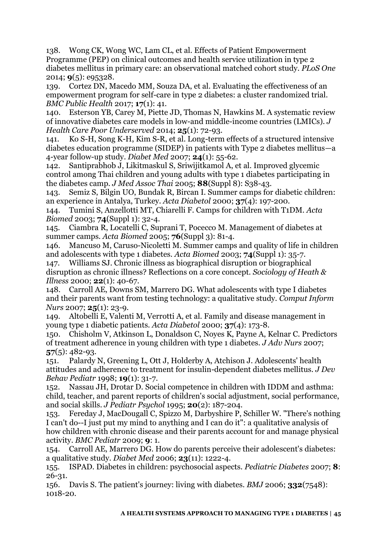138. Wong CK, Wong WC, Lam CL, et al. Effects of Patient Empowerment Programme (PEP) on clinical outcomes and health service utilization in type 2 diabetes mellitus in primary care: an observational matched cohort study. *PLoS One* 2014; **9**(5): e95328.

139. Cortez DN, Macedo MM, Souza DA, et al. Evaluating the effectiveness of an empowerment program for self-care in type 2 diabetes: a cluster randomized trial. *BMC Public Health* 2017; **17**(1): 41.

140. Esterson YB, Carey M, Piette JD, Thomas N, Hawkins M. A systematic review of innovative diabetes care models in low-and middle-income countries (LMICs). *J Health Care Poor Underserved* 2014; **25**(1): 72-93.

141. Ko S-H, Song K-H, Kim S-R, et al. Long-term effects of a structured intensive diabetes education programme (SIDEP) in patients with Type 2 diabetes mellitus—a 4-year follow-up study. *Diabet Med* 2007; **24**(1): 55-62.

142. Santiprabhob J, Likitmaskul S, Sriwijitkamol A, et al. Improved glycemic control among Thai children and young adults with type 1 diabetes participating in the diabetes camp. *J Med Assoc Thai* 2005; **88**(Suppl 8): S38-43.

143. Semiz S, Bilgin UO, Bundak R, Bircan I. Summer camps for diabetic children: an experience in Antalya, Turkey. *Acta Diabetol* 2000; **37**(4): 197-200.

144. Tumini S, Anzellotti MT, Chiarelli F. Camps for children with T1DM. *Acta Biomed* 2003; **74**(Suppl 1): 32-4.

145. Ciambra R, Locatelli C, Suprani T, Pocecco M. Management of diabetes at summer camps. *Acta Biomed* 2005; **76**(Suppl 3): 81-4.

146. Mancuso M, Caruso-Nicoletti M. Summer camps and quality of life in children and adolescents with type 1 diabetes. *Acta Biomed* 2003; **74**(Suppl 1): 35-7.

147. Williams SJ. Chronic illness as biographical disruption or biographical disruption as chronic illness? Reflections on a core concept. *Sociology of Heath & Illness* 2000; **22**(1): 40-67.

148. Carroll AE, Downs SM, Marrero DG. What adolescents with type I diabetes and their parents want from testing technology: a qualitative study. *Comput Inform Nurs* 2007; **25**(1): 23-9.

149. Altobelli E, Valenti M, Verrotti A, et al. Family and disease management in young type 1 diabetic patients. *Acta Diabetol* 2000; **37**(4): 173-8.

150. Chisholm V, Atkinson L, Donaldson C, Noyes K, Payne A, Kelnar C. Predictors of treatment adherence in young children with type 1 diabetes. *J Adv Nurs* 2007; **57**(5): 482-93.

151. Palardy N, Greening L, Ott J, Holderby A, Atchison J. Adolescents' health attitudes and adherence to treatment for insulin-dependent diabetes mellitus. *J Dev Behav Pediatr* 1998; **19**(1): 31-7.

152. Nassau JH, Drotar D. Social competence in children with IDDM and asthma: child, teacher, and parent reports of children's social adjustment, social performance, and social skills. *J Pediatr Psychol* 1995; **20**(2): 187-204.

153. Fereday J, MacDougall C, Spizzo M, Darbyshire P, Schiller W. "There's nothing I can't do--I just put my mind to anything and I can do it": a qualitative analysis of how children with chronic disease and their parents account for and manage physical activity. *BMC Pediatr* 2009; **9**: 1.

154. Carroll AE, Marrero DG. How do parents perceive their adolescent's diabetes: a qualitative study. *Diabet Med* 2006; **23**(11): 1222-4.

155. ISPAD. Diabetes in children: psychosocial aspects. *Pediatric Diabetes* 2007; **8**: 26-31.

156. Davis S. The patient's journey: living with diabetes. *BMJ* 2006; **332**(7548): 1018-20.